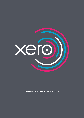

XERO LIMITED ANNUAL REPORT 2014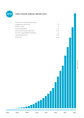

# **XERO LIMITED ANNUAL REPORT 2014**

| Chairman and Chief Executive's report | $1 - 2$   |
|---------------------------------------|-----------|
| Management commentary                 | $3 - 9$   |
| Auditors' report                      | 10        |
| <b>Financial statements</b>           | $11 - 15$ |
| Notes to the financial statements     | $16 - 39$ |
| Directors' responsibilities statement | 40        |
| Corporate governance                  | $41 - 44$ |
| <b>Disclosures</b>                    | $45 - 49$ |



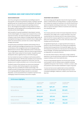# **CHAIRMAN AND CHIEF EXECUTIVE'S REPORT**

# **DEAR SHAREHOLDER**

Xero's focus during the 2014 financial year was building its team for future growth. 376 new Xeros joined the Company, resulting in 758 staff globally by year end. During this period of rapid growth, the Company grew to 284,000 customers and generated operating revenue of \$70.1m. We emerged as the leading accounting software provider in New Zealand, and the leading online accounting software provider in Australia and the United Kingdom.

With the platform for growth established in New Zealand, Australia and the United Kingdom, the Company has increased its focus on the important US market. The initial US market entry phase allowed the Company to raise a further US\$150m in funding; appoint high profile, US based global technology executives to the Board; attract a high quality CEO for Xero North America; and enter into a number of high profile strategic partnerships.

During this phase we developed a detailed understanding of the US market, and with that knowledge and experience Xero is now building out the balance of the management team and moving appropriate global functions to the US. While independent product reviews place Xero strongly against competitors, there are numerous opportunities to create a 'best in class' product for the US market. US specific product development will be a significant focus in the forthcoming year.

Xero has invested over \$250m in building its small business platform and supporting functions. With few other examples of such investment, the competitive landscape is squarely Xero versus Intuit. Xero has already proven its calibre and ability to win in its three initial markets.

The Board is aware of how sentiment can move across investment sectors. In October, when the Board agreed to raise substantial funding, there was a possibility the markets would change. That prudence proved to be appropriate, placing Xero in the strong position of not requiring additional funding to execute its current plans. Meanwhile, current and potential future competitors may find it more challenging to obtain the necessary resources to compete.

#### **INVESTMENT AND GROWTH**

We are pursuing a growth agenda to become the long-term global leader in small business accounting software. To support this growth, the Company has ramped up investment in its internal infrastructure, systems and global marketing and sales teams. This investment will allow us to grow and support millions of customers and create longterm shareholder value.

#### People

The Company welcomes its New York based independent Chairman of the Board, Chris Liddell, who co-authors this letter. Chris most recently held the Vice Chairman and CFO roles at General Motors, where he led the Company's global finance operations and its US\$23 billion IPO in November 2010. Prior to this, Chris was a Senior Vice President and CFO at Microsoft.

As signalled during the year, to support growth and increase our presence in the US and Australia, the Company has strengthened the Board with the appointment of US based Bill Veghte, who runs HP's Enterprise Group where he is the Executive Vice President and General Manager, and Sydney based banking executive Lee Hatton, as independent non-executive Directors.

Our new CEO of North America, Peter Karpas, brings a wealth of experience in the US small business market and is making significant progress building a world class leadership team.

The 376-strong employee expansion over the last year has been most prevalent in the US. Software teams and global marketing capabilities have grown in San Francisco. In Denver, a contact, sales and operations centre has been established to support US growth.

To ensure we have access to global talent we have established a distributed development model with high performance teams in Auckland, Wellington, Melbourne, Canberra, San Francisco and New York.

|                                      | 12 months ended<br>31 March 2014 | 12 months ended<br>31 March 2013 | 12 months ended<br>31 March 2012 |
|--------------------------------------|----------------------------------|----------------------------------|----------------------------------|
| Total operating revenue              | \$70.1m                          | \$38.4m                          | \$18.8m                          |
| Net loss after tax                   | (\$35.5m)                        | (\$14.4m)                        | $(*7.9m)$                        |
|                                      | At 31 March 2014                 | At 31 March 2013                 | At 31 March 2012                 |
| Cash and cash equivalents            | \$209.9m                         | \$78.2m                          | \$39.0m                          |
| Paying customers                     | 284,000                          | 157,000                          | 78,000                           |
| Annualised Committed Monthly Revenue | \$93.0m                          | \$51.5m                          | \$25.5m                          |

#### Performance highlights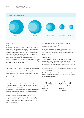



#### Strategic alliances

The Company has formed a number of strategic alliances across our markets with local partners who have both market credibility and broad reach. In the US, we are pleased to be working with Square Inc., Google, Expensify, Squarespace, ADP, Clio and we recently announced an alliance with H&R Block. Similarly, in the UK we were selected as a technology partner by KPMG. In Australia, Deloitte selected Xero as its technology platform partner for online services. In New Zealand, the Company has seen a number of Xero's top accountants acquired by tier one accounting firms, largely due to the performance metrics these partners have achieved by transforming their practices with online accounting.

#### Ecosystem

One of Xero's strengths is its vibrant 'ecosystem' of integrated third party solutions. There are now more than 300 add-on partners, up from 220 as of year ended 31 March 2013, covering such services as CRM, job costing, payroll and point of sale systems. It has been exciting to see a number of Xero add-ons raise significant funding themselves in the past year.

#### **OPERATING OVERVIEW**

Xero is a hybrid business that delivers application software, with complex features typically only seen in the enterprise software space, coupled with a low cost, consumer-like distribution model where scale is achieved with automation.

It was at around 50,000 customers that we set our near term target of a million customers. We're pleased to be making substantial progress towards that goal and beyond.

In line with expectations, the Company increased its operating revenue for the year to 31 March 2014 from \$38.4m to \$70.1m, equating to 83% growth. Paying customers reached 284,000 at 31 March 2014. As anticipated, the full year loss grew to \$35.5m. Cash on hand is \$209.9m.

With a recurring revenue model, the Company commences the 2015 financial year strongly with \$93.0m in annualised subscriptions, up from \$51.5m at 31 March 2013.

Xero's revenue is increasingly geographically diverse. At the end of March 2014, Committed Monthly Revenue by country was New Zealand 30%, Australia 44%, UK 15%, North America 7% and Rest of World 4%.

## **CLOSING COMMENTS**

Xero is operating in an exciting space, with industry analysts acknowledging that the adoption to the cloud is accelerating ahead of earlier expectations. The Company continues to execute its business plan and with the resources in place, it remains strongly positioned.

Shareholders can take comfort in the progress of the business, the growing capabilities of its people and track record of making the right long-term decisions.

While there remains much to do, the Board is very pleased with progress, and thanks all customers, staff, partners and shareholders for their continued support.

Bilbell -

**Chris Liddell Rod Drury**

Chairman Chief Executive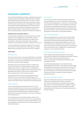# **MANAGEMENT COMMENTARY**

*You should read the following commentary regarding Xero's financial condition and results of operations together with the consolidated financial statements and the related notes in this report. Some of the information contained in this discussion and analysis includes information with respect to the plans and strategy for the business, and it includes forward-looking statements that involve risks and uncertainties. Actual results and the timing of certain events may differ materially from future results expressed or implied by the forward-looking statements contained in the following commentary.*

# **PRESENTATION OF BUSINESS RESULTS**

Xero has elected to change how its income statement is presented. Expenses are now categorised by cost of revenues, sales and marketing, product design and development, and general and administration, rather than expense types such as employee entitlements, advertising and marketing, consulting, travel and so on.

The new presentation provides greater insight into the Company's business model. It also ensures that our reporting is more closely aligned to other major SaaS ("software as a service") companies.

#### **DEFINITIONS**

# Operating revenue

Xero's main revenue source is recurring monthly fees from customers who subscribe to its online accounting software services. Within this subscription, customers also receive support services, data back-up and recovery, along with system upgrades.

Subscription revenue is driven by the number of customers and the services subscribed, which determines the monthly amount payable by the customer. A range of online accounting software services can be accessed through the partner channel (accountants, bookkeepers and similar) or directly from the online channel, with pricing dependent on the functionality required.

Operating revenue also includes other operating revenue from related services such as education and implementation of the online accounting software services, along with conference income. However, subscription revenue comprises 95% of operating revenue.

# Overhead allocation

The costs associated with Xero's facilities, internal IT, and nonproduct related depreciation and amortisation are allocated to cost of revenues, sales and marketing, product design and development and general and administration based on respective headcount. Recruitment costs are allocated based on the number of employees hired during the period.

The total headcount at year end within facilities, internal IT and recruitment was 59 in 2014 and 23 in 2013. All costs associated with these employees are allocated as outlined, but the headcount is not recorded against the relevant function in the tables provided in the following commentary.

#### Cost of revenues

Cost of revenues consists of expenses directly associated with securely hosting Xero's services, sourcing relevant customer data from banks and providing support to customers. Costs include data centre capacity costs, platform costs, bank feed costs, personnel and related costs (including salaries, benefits, bonuses and sharebased compensation) directly associated with cloud infrastructure and customer support, contracted third party vendor costs, related depreciation and amortisation, and allocated overheads.

#### Sales and marketing expenses

Sales and marketing expenses consist of personnel and related costs (including salaries, benefits, bonuses, commissions and share-based compensation) directly associated with sales and marketing teams, costs of the education department, and costs in implementation and configuration of our subscription services. Other costs included are external advertising costs, marketing costs and promotional event costs, including Xerocon conferences and roadshows, as well as allocated overhead.

#### Product design and development expenses

Product design and development expenses consist primarily of personnel and related costs (including salaries, benefits, bonuses and share-based compensation) directly associated with our product design and development employees, as well as allocated overhead.

Under New Zealand Equivalents to International Financial Reporting Standards ("NZ IFRS"), the proportion of product design and development expenses that create a benefit in future periods is capitalisable as an intangible asset and are then amortised to the income statement over the estimated life of the asset created. The amount amortised is included as a product design and development expense.

# General and administration expenses

General and administration expenses consist of personnel and related costs (including salaries, benefits, bonuses and share-based compensation) for our executive, finance, billing, legal, human resources and administration employees. They also include legal, accounting and other professional services fees, insurance premiums, listing costs, other corporate expenses and allocated overhead.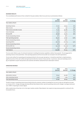# **BUSINESS RESULTS**

The consolidated performance of Xero Limited for the years ended 31 March 2014 and 2013 is summarised as follows:

|                                | 2014<br>$(s$ ooos $)$ | 2013<br>$(s$ ooos $)$ | % Change |
|--------------------------------|-----------------------|-----------------------|----------|
| Year ended 31 March            |                       |                       |          |
| Operating revenue              | 70,091                | 38,353                | 83%      |
| Other income                   | 1,383                 | 936                   | 48%      |
| Total revenue and other income | 71,474                | 39,289                | 82%      |
| Cost of revenues               | 24,516                | 13,916                | 76%      |
| Gross profit                   | 46,958                | 25,373                | 85%      |
| Percent of operating revenue   | 67%                   | 66%                   |          |
| Total operating expenses       | 85,920                | 41,657                | 106%     |
| Percent of operating revenue   | 123%                  | 109%                  |          |
| Operating deficit              | (38, 962)             | (16, 284)             | 139%     |
| Percent of operating revenue   | $-56%$                | $-42%$                |          |
| Net loss after tax             | (35,546)              | (14, 443)             | 146%     |
| Percent of operating revenue   | $-51%$                | $-38%$                |          |
| Cash balance                   | 209,886               | 78,244                | 168%     |

The 2014 result reflects a year of continued investment in building the business capability to deliver future growth. The strong growth in operating revenue is discussed below. Total operating expenses and the net loss after tax increased in line with expectations.

The net cash outflow from operating and investing activities for the 2014 year was \$48.4m. It should be noted that in a SaaS business a significant portion of the cash outflow during the period will drive revenue in future periods. In particular, sales and marketing costs of \$55.1m expended to acquire new partners and customers will deliver substantial future subscription revenue.

# **OPERATING REVENUE**

|                         | 2014<br>$(s$ ooos $)$ | 2013<br>$(s$ ooos $)$ | % Change |
|-------------------------|-----------------------|-----------------------|----------|
| Year ended 31 March     |                       |                       |          |
| Subscription revenue    | 66,551                | 36,088                | 84%      |
| Other operating revenue | 3,540                 | 2,265                 | 56%      |
| Total operating revenue | 70,091                | 38,353                | 83%      |

The 83% increase in operating revenue was primarily driven by customer numbers increasing from 157,000 to 284,000 during the 2014 year, an increase of 81%. Foreign exchange adversely affected New Zealand dollar reported operating revenue with changes in average revenue per user ("ARPU") impacting to a lesser degree.

With a market share of less than 10% in the major markets outside of New Zealand, Xero expects strong revenue growth to continue for the foreseeable future.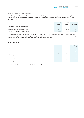# **OPERATING REVENUE – CONSTANT CURRENCY**

Given that approximately two thirds of Xero's revenue is denominated in foreign currencies, the strong New Zealand dollar during the year ended 31 March 2014 adversely affected reported operating revenue. On a constant currency basis, Xero grew operating revenue by 92% during the period.

|                                             | 2014<br>$(s$ ooos $)$ | 2013<br>$(s$ ooos $)$ | % Change |
|---------------------------------------------|-----------------------|-----------------------|----------|
| Year ended 31 March - constant currency     |                       |                       |          |
| Subscription revenue - constant currency    | 69,916                | 36,088                | 94%      |
| Total operating revenue – constant currency | 73,610                | 38,353                | $92\%$   |

This analysis is a non-GAAP financial measure, which has been provided to assist in understanding and assessing the company's financial performance during the year, excluding the impact of foreign currency fluctuations. The constant dollar revenue translates revenue for the year ended 31 March 2014 at the effective exchange rates used for the year ended 31 March 2013.

## **CUSTOMER NUMBERS**

|                        | 2014    | 2013    | % Change |
|------------------------|---------|---------|----------|
| Paying customers       |         |         |          |
| New Zealand            | 102,000 | 73,000  | 40%      |
| Australia              | 109,000 | 51,000  | $114\%$  |
| United Kingdom         | 47,000  | 22,000  | $114\%$  |
| North America          | 18,000  | 6,000   | 200%     |
| Rest of World          | 8,000   | 5,000   | 60%      |
| Total paying customers | 284,000 | 157,000 | 81%      |

Total customers at 31 March 2014 has grown by 127,000 or 81% to 284,000.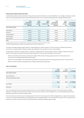# **ANNUALISED SUBSCRIPTIONS AND ARPU**

Annualised subscriptions represent monthly recurring revenue recorded in the March 2014 month multiplied by 12. Accordingly, it provides a 12 month view on revenue assuming any promotions have ended and other factors such as customers and pricing remain unchanged during the period.

|                     | 2014<br>Annualised<br>subscriptions<br>$(s$ ooos $)$ | 2014<br><b>ARPU</b><br>actual* | 2014<br><b>ARPU</b><br>constant FX** | 2013<br>Annualised<br>subscriptions<br>$(s$ ooos $)$ | 2013<br><b>ARPU</b><br>actual* | Annualised<br>subscriptions<br>% change |
|---------------------|------------------------------------------------------|--------------------------------|--------------------------------------|------------------------------------------------------|--------------------------------|-----------------------------------------|
| Year ended 31 March |                                                      | $(\$)$                         | $(\$)$                               |                                                      | $(\$)$                         |                                         |
|                     |                                                      |                                |                                      |                                                      |                                |                                         |
| New Zealand         | 28,600                                               | 23.4                           | 23.4                                 | 19,800                                               | 22.6                           | 44%                                     |
| Australia           | 40,600                                               | 31.0                           | 36.2                                 | 20,500                                               | 33.5                           | 98%                                     |
| United Kingdom      | 14,200                                               | 25.2                           | 24.0                                 | 7,000                                                | 26.5                           | 103%                                    |
| North America       | 6,200                                                | 28.7                           | 29.5                                 | 2,200                                                | 30.6                           | 182%                                    |
| Rest of World       | 3,400                                                | 35.4                           | 36.4                                 | 2,000                                                | 33.3                           | 70%                                     |
| Total               | 93,000                                               | 27.3                           | 29.0                                 | 51,500                                               | 27.3                           | 81%                                     |

*\*Monthly average revenue per user (ARPU) based on annualised subscriptions and closing customers numbers.*

*\*\*Monthly ARPU applying foreign exchange rates applicable in the calculation of ARPU for 2013.*

The impact of foreign exchange is again evident in comparing ARPU and "ARPU Constant FX" for the 2014 year. Annualised subscriptions at 31 March 2014 would be \$99m if foreign exchange rates applicable in the calculation for the 2013 year applied.

Strong growth is reflected in all regions which, as outlined, is largely driven by customer growth. However, changes in ARPU also had some impact. The following is noted when comparing "ARPU Constant FX" for the 2014 year and ARPU for the 2013 year:

- ARPU for New Zealand and Australia increased due to higher ARPU products forming a greater proportion of total products and, in Australia, price changes implemented during the year;
- ARPU for the United Kingdom and United States decreased due to lower ARPU products forming a greater proportion of total products;
- ARPU for the Rest of World increased given price changes implemented during the year.

#### **COST OF REVENUES**

|                              | 2014<br>$(s$ ooos $)$ | 2013<br>$(s$ ooos $)$ | % Change |
|------------------------------|-----------------------|-----------------------|----------|
| Year ended 31 March          |                       |                       |          |
| Cost of revenues             | 24,516                | 13,916                | 76%      |
| Percent of operating revenue | 35%                   | 36%                   | $-1\%$   |
|                              |                       |                       |          |
|                              | 2014                  | 2013                  | % Change |
| At 31 March                  |                       |                       |          |
| Headcount                    | 182                   | 94                    | 94%      |

Cost of revenues were \$24.5m for the year ended 31 March 2014, \$10.6m higher than the previous period. This increase was due to higher headcount, resulting in increased personnel related costs of \$3.7m (an increase of 73%) and higher direct costs (including hosting costs and bank feed costs), which increase as customers grow.

Cost of revenues has reduced to 35% of operating revenue from 36% in the previous period. While management has a range of work programs to lower cost of revenues substantially, 2014 represented a year of building capability – this investment will continue in 2015. We expect cost of revenues to continue to reduce as a percent of operating revenue, thereby increasing the gross margin.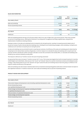#### **SALES AND MARKETING**

|                              | 2014<br>$(s$ ooos $)$ | 2013<br>$(s$ ooos $)$ | % Change |
|------------------------------|-----------------------|-----------------------|----------|
| Year ended 31 March          |                       |                       |          |
| Sales and marketing          | 55,105                | 22,043                | 150%     |
| Percent of operating revenue | 79%                   | 57%                   | 22%      |
|                              |                       |                       |          |
|                              | 2014                  | 2013                  | % Change |
| At 31 March                  |                       |                       |          |
| Headcount                    | 222                   | 127                   | 75%      |

Sales and marketing expenses were \$55.1m for the year ended 31 March 2014, \$33.1m higher than in the previous period. These costs increased as a percent of operating revenue, reflecting the investment in recruiting senior management and filling out global teams, along with the implementation of additional marketing initiatives.

Employee numbers in the sales and marketing function increased by 75% during the period, resulting in increased personnel related costs of \$14.9m (an increase of 134%). External sales and marketing costs, including the cost of advertising campaigns, online marketing, running Xerocon conferences and road shows increased by \$10.7m during the period.

As sales and marketing costs are primarily focused on acquiring new customers, the efficiency of the sales and marketing spend is determined by comparing it to the revenue these customers will generate. A common measure is to calculate the sales and marketing cost to acquire each new customer and then calculate the number of months it will take to recover this cost based on the monthly ARPU, i.e. total sales and marketing costs divided by new customers divided by monthly ARPU.

This measure is referred to as "months to recover CAC (cost of acquiring customers)".

At a group level there was an increase in "months to recover CAC" in 2014. This increase was largely driven by the increased investment in Australia, United Kingdom and United States, where we are in the "recruit" and "educate" phase of our partner channel (accountants and bookkeepers) sales strategy. In New Zealand where we are in the "educate" and "grow" phase this sales and marketing measure improved, giving us confidence in the long term validity and efficiency of this approach.

Sales and marketing costs will increase in absolute dollar terms as investment toward growing global market share continues however we expect to see a significant reduction in "months to recover CAC" and in sales and marketing costs as a percent of operating revenue.

# **PRODUCT DESIGN AND DEVELOPMENT**

|                                                                                      | 2014<br>$(s$ ooos $)$ | 2013<br>$(s$ ooos $)$ | % Change |
|--------------------------------------------------------------------------------------|-----------------------|-----------------------|----------|
| Year ended 31 March                                                                  |                       |                       |          |
| Total product design and development costs (including capitalised development costs) | 34,089                | 18,898                | 80%      |
| Percent of operating revenue                                                         | 49%                   | 49%                   | $O\%$    |
| Less capitalised development costs                                                   | (20, 899)             | (9,905)               | 111%     |
| Product design and development expenses excluding amortisation                       |                       |                       |          |
| of capitalised development costs                                                     | 13,190                | 8,993                 | 47%      |
| Add amortisation of capitalised development costs                                    | 5,219                 | 2,625                 | 99%      |
| Product design and development expenses                                              | 18,409                | 11,618                | 58%      |
| Percent of operating revenue                                                         | 26%                   | 30%                   | $-4%$    |
|                                                                                      |                       |                       |          |
|                                                                                      | 2014                  | 2013                  | % Change |
| At 31 March                                                                          |                       |                       |          |
| Headcount                                                                            | 236                   | 117                   | 102%     |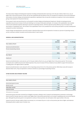The total product design and development expenses including overhead allocations were \$34.1m for the year ended 31 March 2014, \$15.2m higher than in the previous period. Of this, \$20.9m was capitalised with the balance of \$13.2m included as an expense in the income statement. Amortisation of product design and development expenditure capitalised of \$5.2m was also included as an expense in the income statement, giving a total expense for the period of \$18.4m.

The increase in total costs was driven by a 102% growth in product design and development headcount, thereby increasing personnel expenditure by \$10m (an increase of 57%) and resulting in an increase of allocated overheads. An increase in the capitalisation rate resulted in the income statement expense reducing as a percent of operating revenue, with this reduction partly offset by a \$3.0m increase in the amortisation of capitalised costs. The increase in the capitalisation rate in 2014 resulted from more activity and spend on product development compared to product maintenance.

Product design and development costs will increase in absolute dollar terms and are expected to increase as a percent of operating revenue as Xero continues to deliver innovation and the best product in each market.

#### **GENERAL AND ADMINISTRATION**

|                              | 2014<br>$(s$ ooos $)$ | 2013<br>$(s$ ooos $)$ | % Change |
|------------------------------|-----------------------|-----------------------|----------|
| Year ended 31 March          |                       |                       |          |
| General and administration   | 12,406                | 7,996                 | $55\%$   |
| Percent of operating revenue | 18%                   | 21%                   | $-3%$    |
|                              |                       |                       |          |
|                              | 2014                  | 2013                  | % Change |
| At 31 March                  |                       |                       |          |
| Headcount                    | 59                    | 21                    | 181%     |

General and administration costs were \$12.4m for the year ended 31 March 2014, \$4.4m higher than in the previous period. This increase is primarily due to additional personnel related expenses of \$2.3m (an increase of 61%) as headcount was added to support the business as it rapidly grows in all regions where it operates.

General and administration costs reduced to 18% of operating revenue from 21% in the previous period. While these costs will increase in absolute dollar terms, they are expected to continue to decline as a percentage of operating revenue.

# **OTHER INCOME AND INTEREST INCOME**

|                         | 2014<br>$(s$ ooos $)$ | 2013<br>$(s$ ooos $)$    | % Change |
|-------------------------|-----------------------|--------------------------|----------|
| Year ended 31 March     |                       |                          |          |
| Government grant income | 1,257                 | 936                      | 34%      |
| Rental income           | 126                   | $\overline{\phantom{0}}$ | $NM^*$   |
| Total other income      | 1,383                 | 936                      | 48%      |
| Interest income         | 5,062                 | 1,838                    | 175%     |

*\*NM stands for not meaningful.*

Government grants have been received from Callaghan Innovation relating to Xero's research and development investment in technology. Grant income for the year was \$1.3m, which is 34% higher than in the previous period due to an increase in qualifying costs incurred during the year. Although this particular grant is not expected to continue in future periods, Xero will explore other opportunities in this area.

Interest income for the year ended 31 March 2014 was \$5.1m, an increase of \$3.2m or 175% on the previous year due to higher cash balances following the \$180m capital raise in October 2013.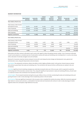## **SEGMENT INFORMATION**

|                             | New Zealand<br>(\$000S) | Australia<br>$(s$ ooos $)$ | United<br>Kingdom<br>$(s$ ooos $)$ | North<br>America<br>$(s$ ooos $)$ | Rest of<br>World<br>$(s$ ooos $)$ | Corporate<br>$(s$ ooos $)$ | Total<br>$(s$ ooos $)$ |
|-----------------------------|-------------------------|----------------------------|------------------------------------|-----------------------------------|-----------------------------------|----------------------------|------------------------|
| Year ended 31 March 2014    |                         |                            |                                    |                                   |                                   |                            |                        |
| Total revenue, other income |                         |                            |                                    |                                   |                                   |                            |                        |
| and interest income         | 24,010                  | 29,298                     | 10,429                             | 3,714                             | 2,672                             | 6,413                      | 76,536                 |
| Cost of revenues            | (8,540)                 | (10, 183)                  | (3, 613)                           | (1, 206)                          | (974)                             |                            | (24, 516)              |
| Sales and marketing         | (5, 443)                | (21,080)                   | (7, 418)                           | (20, 383)                         | (781)                             |                            | (55, 105)              |
| Other expenses              |                         |                            |                                    |                                   |                                   | (30, 815)                  | (30, 815)              |
| Segment contribution        | 10,027                  | (1, 965)                   | (602)                              | (17, 875)                         | 917                               | (24, 402)                  | (33,900)               |
| Year ended 31 March 2013    |                         |                            |                                    |                                   |                                   |                            |                        |
| Total revenue, other income |                         |                            |                                    |                                   |                                   |                            |                        |
| and interest income         | 16,359                  | 13,734                     | 5,477                              | 1,345                             | 1,377                             | 2,835                      | 41,127                 |
| Cost of revenues            | (6,037)                 | (4,870)                    | (1, 974)                           | (506)                             | (529)                             | $\overline{\phantom{0}}$   | (13, 916)              |
| Sales and marketing         | (5,387)                 | (8,792)                    | (3, 513)                           | (4, 194)                          | (157)                             | -                          | (22, 043)              |
| Other expenses              |                         |                            |                                    |                                   | $\qquad \qquad -$                 | (19, 614)                  | (19, 614)              |

Subscription and other revenue is allocated to each country with regard to where the paying customer resides. Cost of revenues is allocated to each country based on a consistent percent of subscription revenue with sales and marketing costs including direct in-country costs along with an allocation of centrally managed costs and overheads.

Segment contribution 4,935 72 (10) (3,355) 691 (16,779) (14,446)

Revenue for Corporate comprises interest and grant income with costs being all product design and development costs, general and administration costs, along with depreciation and amortisation.

New Zealand The substantial contribution reflects the ability to build a highly profitable model. As the partner channel matures revenue will continue to grow faster than sales and marketing costs. The contribution will improve further as efficiencies are realised in the cost of revenues.

Australia A significant brand marketing campaign was undertaken during the latter part of the 2014 year, which is expected to assist the continued growth of the Australian customer base. This, along with significant improvements in sales and marketing efficiency, should result in a material increase in the contribution from Australia in the 2015 year.

United Kingdom The increased investment during the 2014 year reflects a focus on further accelerating the sales and marketing activity and growing the team in order to take advantage of Xero's leadership position in the UK market.

North America There was significant investment in the 2014 year as Xero completed the market entry phase. While this investment appeared high relative to revenue and customers, a solid platform has been built and investment will continue in order to take advantage of market segments where Xero anticipates a high likelihood of success.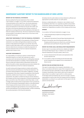# **INDEPENDENT AUDITORS' REPORT TO THE SHAREHOLDERS OF XERO LIMITED**

# **REPORT ON THE FINANCIAL STATEMENTS**

We have audited the financial statements of Xero Limited ("the Company") on pages 11 to 39, which comprise the statements of financial position as at 31 March 2014, the income statements, statements of comprehensive income, statements of changes in equity and statements of cash flows for the year then ended, and the notes to the financial statements that include a summary of significant accounting policies and other explanatory information for both the Company and the Group. The Group comprises the Company and the entities it controlled at 31 March 2014 or from time to time during the financial year.

# **DIRECTORS' RESPONSIBILITY FOR THE FINANCIAL STATEMENTS**

The Directors are responsible for the preparation of these financial statements in accordance with generally accepted accounting practice in New Zealand and that give a true and fair view of the matters to which they relate, and for such internal controls as the Directors determine are necessary to enable the preparation of financial statements that are free from material misstatement, whether due to fraud or error.

# **AUDITORS' RESPONSIBILITY**

Our responsibility is to express an opinion on these financial statements based on our audit. We conducted our audit in accordance with International Standards on Auditing (New Zealand) and International Standards on Auditing. These standards require that we comply with relevant ethical requirements and plan and perform the audit to obtain reasonable assurance about whether the financial statements are free from material misstatement.

An audit involves performing procedures to obtain audit evidence about the amounts and disclosures in the financial statements. The procedures selected depend on the auditors' judgement, including the assessment of the risks of material misstatement of the financial statements, whether due to fraud or error. In making those risk assessments, the auditors consider the internal controls relevant to the Company and the Group's preparation of financial statements that give a true and fair view of the matters to which they relate, in order to design audit procedures that are appropriate in the circumstances, but not for the purpose of expressing an opinion on the effectiveness of the Company and the Group's internal controls. An audit also includes evaluating the appropriateness of accounting policies used and the reasonableness of accounting estimates, as well as evaluating the overall presentation of the financial statements.

We believe that the audit evidence we have obtained is sufficient and appropriate to provide a basis for our audit opinion.

We have no relationship with, or interests in, Xero Limited or any of its subsidiaries other than in our capacities as auditors and providers of assurance, advisory and taxation services. These services have not impaired our independence as auditors of the Company and the Group.

#### **OPINION**

In our opinion, the financial statements on pages 11 to 39:

- (i) comply with generally accepted accounting practice in New Zealand;
- (ii) comply with International Financial Reporting Standards; and
- (iii) give a true and fair view of the financial position of the Company and the Group as at 31 March 2014, and their financial performance and cash flows for the year then ended.

# **REPORT ON OTHER LEGAL AND REGULATORY REQUIREMENTS**

We also report in accordance with Sections 16(1)(d) and 16(1)(e) of the Financial Reporting Act 1993. In relation to our audit of the financial statements for the year ended 31 March 2014:

- (i) we have obtained all the information and explanations that we have required; and
- (ii) in our opinion, proper accounting records have been kept by the Company as far as appears from an examination of those records.

#### **RESTRICTION ON DISTRIBUTION OR USE**

This report is made solely to the Company's shareholders, as a body, in accordance with Section 205(1) of the Companies Act 1993. Our audit work has been undertaken so that we might state to the Company's shareholders those matters which we are required to state to them in an auditors' report and for no other purpose. To the fullest extent permitted by law, we do not accept or assume responsibility to anyone other than the Company and the Company's shareholders, as a body, for our audit work, for this report or for the opinions we have formed.

Pricewarkerboure Coopers

**PricewaterhouseCoopers** Chartered Accountants Wellington, New Zealand 22 May 2014

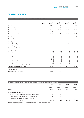# **FINANCIAL STATEMENTS**

| XERO LIMITED - INCOME STATEMENTS - FOR THE YEAR ENDED 31 MARCH 2014 |              |                           |                                |                                 |                                 |
|---------------------------------------------------------------------|--------------|---------------------------|--------------------------------|---------------------------------|---------------------------------|
|                                                                     | <b>Notes</b> | Group<br>2014<br>(\$000S) | Group<br>2013<br>$(s$ ooos $)$ | Parent<br>2014<br>$(s$ ooos $)$ | Parent<br>2013<br>$(s$ ooos $)$ |
| Subscription revenue                                                | 4            | 66,551                    | 36,088                         | $\overline{\phantom{a}}$        | 16,281                          |
| Other operating revenue                                             | 4            | 3,540                     | 2,265                          | 50,095                          | 10,071                          |
| Total operating revenue                                             |              | 70,091                    | 38,353                         | 50,095                          | 26,352                          |
| Other income                                                        | 4            | 1,383                     | 936                            | 1,257                           | 936                             |
| Total revenue and other income                                      |              | 71,474                    | 39,289                         | 51,352                          | 27,288                          |
| Cost of revenues                                                    |              | 24,516                    | 13,916                         | 15,076                          | 12,480                          |
| Gross profit                                                        |              | 46,958                    | 25,373                         | 36,276                          | 14,808                          |
| <b>Operating expenses</b>                                           |              |                           |                                |                                 |                                 |
| Sales and marketing                                                 |              | 55,105                    | 22,043                         | 49,765                          | 14,408                          |
| Product design and development                                      |              | 18,409                    | 11,618                         | 18,498                          | 11,152                          |
| General and administration                                          |              | 12,406                    | 7,996                          | 9,223                           | 7,358                           |
| Total operating expenses                                            | 4            | 85,920                    | 41,657                         | 77,486                          | 32,918                          |
| Operating deficit                                                   |              | (38, 962)                 | (16, 284)                      | (41, 210)                       | (18, 110)                       |
| Interest income                                                     | 4            | 5,062                     | 1,838                          | 5,009                           | 1,827                           |
| Net loss before tax                                                 |              | (33,900)                  | (14, 446)                      | (36, 201)                       | (16, 283)                       |
| Income tax expense                                                  | 5            | (808)                     | (231)                          | $\overline{\phantom{a}}$        |                                 |
| Net loss from continuing operations                                 |              | (34,708)                  | (14, 677)                      | (36, 201)                       | (16, 283)                       |
| Net (loss)/profit from discontinued operations                      | 6            | (838)                     | 234                            | (1, 168)                        | 125                             |
| Net loss after tax for the period attributable                      |              |                           |                                |                                 |                                 |
| to the shareholders of the Company                                  |              | (35,546)                  | (14, 443)                      | (37, 369)                       | (16, 158)                       |
| Earnings per share                                                  |              |                           |                                |                                 |                                 |
| Basic and diluted loss per share                                    | 7            | (\$0.29)                  | (\$O.13)                       |                                 |                                 |

| XERO LIMITED - STATEMENTS OF COMPREHENSIVE INCOME - FOR THE YEAR ENDED 31 MARCH 2014 |                                |                                |                                 |                                 |
|--------------------------------------------------------------------------------------|--------------------------------|--------------------------------|---------------------------------|---------------------------------|
|                                                                                      | Group<br>2014<br>$(s$ ooos $)$ | Group<br>2013<br>$(s$ ooos $)$ | Parent<br>2014<br>$(s$ ooos $)$ | Parent<br>2013<br>$(s$ ooos $)$ |
| Net loss after tax                                                                   | (35, 546)                      | (14, 443)                      | (37,369)                        | (16, 158)                       |
| Other comprehensive income                                                           |                                |                                |                                 |                                 |
| Exchange difference on translation of international subsidiaries*                    | (40)                           | (11)                           |                                 |                                 |
| Total other comprehensive expense for the year, net of tax                           | (40)                           | (11)                           |                                 |                                 |
| Total comprehensive loss for the year attributable to the                            |                                |                                |                                 |                                 |
| shareholders of the Company                                                          | (35, 586)                      | (14, 454)                      | (37, 369)                       | (16, 158)                       |

*\*Exchange differences are reclassified to the Income Statements on disposal of international subsidiaries.*

*The accompanying notes form an integral part of these financial statements.*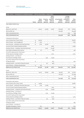| XERO LIMITED - STATEMENTS OF CHANGES IN EQUITY - FOR THE YEAR ENDED 31 MARCH 2014 |              |                          |                          |                                      |                          |                                               |                 |
|-----------------------------------------------------------------------------------|--------------|--------------------------|--------------------------|--------------------------------------|--------------------------|-----------------------------------------------|-----------------|
|                                                                                   |              | Share<br>capital         | Treasury<br>stock        | Share<br>based<br>payment<br>reserve | Accumulated<br>losses    | Foreign<br>currency<br>translation<br>reserve | Total<br>equity |
|                                                                                   | <b>Notes</b> | $(s$ ooos $)$            | $(s$ ooos $)$            | $(s$ ooos $)$                        | $(s$ ooos $)$            | $(s$ ooos $)$                                 | $(s$ ooos $)$   |
| Year ended 31 March 2014                                                          |              |                          |                          |                                      |                          |                                               |                 |
| Group                                                                             |              |                          |                          |                                      |                          |                                               |                 |
| Balance at 1 April 2013                                                           |              | 155,551                  | (5, 529)                 | 3,096                                | (50, 394)                | (72)                                          | 102,652         |
| Net loss after tax                                                                |              |                          |                          |                                      | (35, 546)                | $\overline{\phantom{a}}$                      | (35,546)        |
| Other comprehensive loss                                                          |              |                          | $\overline{a}$           | $\overline{\phantom{a}}$             |                          | (40)                                          | (40)            |
| Total comprehensive loss                                                          |              | $\overline{\phantom{0}}$ | $\overline{a}$           | $\overline{\phantom{0}}$             | (35, 546)                | (40)                                          | (35,586)        |
| Transactions with owners:                                                         |              |                          |                          |                                      |                          |                                               |                 |
| Issue of shares (net of issue costs)                                              | 13           | 179,562                  | $\overline{\phantom{0}}$ | $\overline{\phantom{0}}$             | $\overline{\phantom{a}}$ | $\overline{\phantom{0}}$                      | 179,562         |
| Issue of shares - key management                                                  | 16           | 1,550                    |                          |                                      |                          | $\overline{\phantom{0}}$                      | 1,550           |
| Issue of shares – employee restricted share plan                                  | 19           | 3,792                    | (3,792)                  | $\overline{\phantom{0}}$             | $\overline{\phantom{0}}$ | $\qquad \qquad -$                             |                 |
| Accrual of share-based employee benefits                                          |              |                          |                          | 4,689                                |                          | $\overline{a}$                                | 4,689           |
| Vesting of shares - employee restricted share plan                                |              |                          | 2,429                    | (2, 429)                             |                          |                                               |                 |
| Exercising of employee share options                                              | 13           | 611                      | $\overline{a}$           | (119)                                | $\overline{a}$           | $\overline{a}$                                | 492             |
| Accrual for equity portion of purchase                                            |              |                          |                          |                                      |                          |                                               |                 |
| of Max Solutions Holdings Limited                                                 | 13           |                          |                          | 1,000                                |                          |                                               | 1,000           |
| Vesting of shares - purchase of                                                   |              |                          |                          |                                      |                          |                                               |                 |
| Max Solutions Holdings Limited                                                    |              |                          | 1,333                    | (1, 333)                             |                          |                                               |                 |
| Accrual for equity portion of purchase                                            |              |                          |                          |                                      |                          |                                               |                 |
| of Paycycle assets                                                                | 13           |                          |                          | 209                                  |                          |                                               | 209             |
| Vesting of shares - purchase of Paycycle assets                                   |              |                          | 431                      | (431)                                |                          | $\overline{a}$                                |                 |
| Issue of shares - software development                                            | 13           | 370                      | $\overline{a}$           | $\qquad \qquad -$                    | $\qquad \qquad -$        | $\qquad \qquad -$                             | 370             |
| Balance as at 31 March 2014                                                       |              | 341,436                  | (5, 128)                 | 4,682                                | (85, 940)                | (112)                                         | 254,938         |
| Group                                                                             |              |                          |                          |                                      |                          |                                               |                 |
| Balance at 1 April 2012                                                           |              | 93,251                   | (6, 874)                 | 1,883                                | (35, 951)                | (61)                                          | 52,248          |
| Net loss after tax                                                                |              |                          |                          |                                      | (14, 443)                | $\overline{a}$                                | (14, 443)       |
| Other comprehensive loss                                                          |              |                          |                          |                                      |                          | (11)                                          | (11)            |
| Total comprehensive loss                                                          |              | $\overline{\phantom{0}}$ | $\qquad \qquad -$        |                                      | (14, 443)                | (11)                                          | (14, 454)       |
| Transactions with owners:                                                         |              |                          |                          |                                      |                          |                                               |                 |
| Issue of shares (net of issue costs)                                              | 13           | 59,882                   | $\overline{a}$           | $\qquad \qquad -$                    | $\overline{\phantom{a}}$ | $\overline{a}$                                | 59,882          |
| Issue of shares - employee restricted share plan                                  | 19           | 1,818                    | (1, 818)                 |                                      | -                        | -                                             |                 |
| Accrual of share-based employee benefits                                          |              |                          |                          | 1,665                                |                          |                                               | 1,665           |
| Vesting of shares - employee restricted share plan                                |              | $\qquad \qquad -$        | 1,399                    | (1, 399)                             | $\overline{\phantom{0}}$ | $\overline{a}$                                |                 |
| Vesting of shares - purchase of                                                   |              |                          |                          |                                      |                          |                                               |                 |
| Max Solutions Holdings Limited                                                    |              |                          | 1,333                    | (1, 333)                             |                          |                                               |                 |
| Accrual for equity portion of purchase                                            |              |                          |                          |                                      |                          |                                               |                 |
| of Max Solutions Holdings Limited                                                 |              |                          |                          | 2,222                                |                          |                                               | 2,222           |
| Vesting of shares - purchase of Paycycle assets                                   |              |                          | 431                      | (431)                                | $\qquad \qquad -$        | $\qquad \qquad -$                             |                 |
| Accrual for equity portion of purchase                                            |              |                          |                          |                                      |                          |                                               |                 |
| of Paycycle assets                                                                |              |                          |                          | 489                                  |                          |                                               | 489             |
| Issue of shares - purchase of                                                     |              |                          |                          |                                      |                          |                                               |                 |
| Spotlight Workpapers Limited                                                      |              | 600                      |                          |                                      |                          |                                               | 600             |
| Balance as at 31 March 2013                                                       |              | 155,551                  | (5, 529)                 | 3,096                                | (50, 394)                | (72)                                          | 102,652         |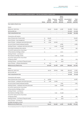| XERO LIMITED - STATEMENTS OF CHANGES IN EQUITY - FOR THE YEAR ENDED 31 MARCH 2014 |              |                          |                          |                                      |                          |                 |
|-----------------------------------------------------------------------------------|--------------|--------------------------|--------------------------|--------------------------------------|--------------------------|-----------------|
|                                                                                   |              | Share<br>capital         | Treasury<br>stock        | Share<br>based<br>payment<br>reserve | Accumulated<br>losses    | Total<br>equity |
|                                                                                   | <b>Notes</b> | $(s$ ooos $)$            | $(s$ ooos $)$            | $(s$ ooos $)$                        | (\$000S)                 | $(s$ ooos $)$   |
| Year ended 31 March 2014                                                          |              |                          |                          |                                      |                          |                 |
| Parent                                                                            |              |                          |                          |                                      |                          |                 |
| Balance at 1 April 2013                                                           |              | 155,551                  | (5, 529)                 | 3,096                                | (52, 585)                | 100,533         |
| Net loss after tax                                                                |              | $\overline{a}$           | $\overline{a}$           | $\overline{a}$                       | (37, 369)                | (37, 369)       |
| Total comprehensive loss                                                          |              | $\overline{\phantom{a}}$ | -                        | $\overline{\phantom{0}}$             | (37, 369)                | (37, 369)       |
| Transactions with owners:                                                         |              |                          |                          |                                      |                          |                 |
| Issue of shares (net of issue costs)                                              | 13           | 179,562                  | $\qquad \qquad -$        | $\overline{\phantom{a}}$             | $\qquad \qquad -$        | 179,562         |
| Issue of shares - key management                                                  | 16           | 1,550                    |                          | $\overline{a}$                       | $\overline{a}$           | 1,550           |
| Issue of shares - employee restricted share plan                                  | 19           | 3,792                    | (3,792)                  | $\overline{\phantom{0}}$             | $\overline{a}$           |                 |
| Accrual of share-based employee benefits                                          |              | $\overline{\phantom{0}}$ | $\overline{a}$           | 4,689                                | $\qquad \qquad -$        | 4,689           |
| Vesting of shares - employee restricted share plan                                |              | $\qquad \qquad -$        | 2,429                    | (2, 429)                             | $\qquad \qquad -$        |                 |
| Exercising of employee share options                                              | 13           | 611                      | $\overline{\phantom{0}}$ | (119)                                | $\overline{\phantom{0}}$ | 492             |
| Accrual for equity portion of purchase                                            |              |                          |                          |                                      |                          |                 |
| of Max Solutions Holdings Limited                                                 | 13           |                          |                          | 1,000                                | $\overline{a}$           | 1,000           |
| Vesting of shares - purchase of                                                   |              |                          |                          |                                      |                          |                 |
| Max Solutions Holdings Limited                                                    |              | $\overline{a}$           | 1,333                    | (1, 333)                             |                          |                 |
| Accrual for equity portion of purchase                                            |              |                          |                          |                                      |                          |                 |
| of Paycycle assets                                                                | 13           | $\qquad \qquad -$        | $\overline{a}$           | 209                                  | $\overline{\phantom{0}}$ | 209             |
| Vesting of shares - purchase of Paycycle assets                                   |              | $\qquad \qquad -$        | 431                      | (431)                                | $\overline{\phantom{0}}$ |                 |
| Issue of shares - software development                                            | 13           | 370                      |                          |                                      |                          | 370             |
| Balance as at 31 March 2014                                                       |              | 341,436                  | (5, 128)                 | 4,682                                | (89, 954)                | 251,036         |
| Parent                                                                            |              |                          |                          |                                      |                          |                 |
| Balance at 1 April 2012                                                           |              | 93,251                   | (6, 874)                 | 1,883                                | (36, 427)                | 51,833          |
| Net loss after tax                                                                |              | $\overline{a}$           | $\overline{\phantom{0}}$ |                                      | (16, 158)                | (16, 158)       |
| Total comprehensive loss                                                          |              | $\overline{\phantom{a}}$ | $\qquad \qquad -$        | $\qquad \qquad -$                    | (16, 158)                | (16, 158)       |
| Transactions with owners:                                                         |              |                          |                          |                                      |                          |                 |
| Issue of shares (net of issue costs)                                              | 13           | 59,882                   |                          | $\qquad \qquad -$                    | $\overline{\phantom{0}}$ | 59,882          |
| Issue of shares - employee restricted share plan                                  | 19           | 1,818                    | (1, 818)                 |                                      | $\overline{\phantom{0}}$ |                 |
| Accrual of share-based employee benefits                                          |              | $\qquad \qquad -$        |                          | 1,665                                | -                        | 1,665           |
| Vesting of shares - employee restricted share plan                                |              | $\overline{\phantom{a}}$ | 1,399                    | (1, 399)                             | $\overline{a}$           |                 |
| Accrual for equity portion of purchase                                            |              |                          |                          |                                      |                          |                 |
| of Max Solutions Holdings Limited                                                 |              | $\overline{\phantom{a}}$ | -                        | 2,222                                | $\overline{\phantom{0}}$ | 2,222           |
| Vesting of shares - purchase of                                                   |              |                          |                          |                                      |                          |                 |
| Max Solutions Holdings Limited                                                    |              | $\qquad \qquad -$        | 1,333                    | (1, 333)                             |                          |                 |
| Accrual for equity portion of purchase                                            |              |                          |                          |                                      |                          |                 |
| of Paycycle assets                                                                |              |                          |                          | 489                                  | $\overline{\phantom{0}}$ | 489             |
| Vesting of shares - purchase of Paycycle assets                                   |              |                          | 431                      | (431)                                | $\overline{a}$           |                 |
| Issue of shares - purchase of                                                     |              |                          |                          |                                      |                          |                 |
| Spotlight Workpapers Limited                                                      |              | 600                      | -                        | $\overline{a}$                       | $\overline{a}$           | 600             |
| Balance as at 31 March 2013                                                       |              | 155,551                  | (5, 529)                 | 3,096                                | (52, 585)                | 100,533         |

*The accompanying notes form an integral part of these financial statements.*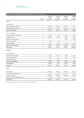| XERO LIMITED - STATEMENTS OF FINANCIAL POSITION - AS AT 31 MARCH 2014 |                 |                       |                  |                  |                  |
|-----------------------------------------------------------------------|-----------------|-----------------------|------------------|------------------|------------------|
|                                                                       |                 | Group                 | Group            | Parent           | Parent           |
|                                                                       | <b>Notes</b>    | 2014<br>$(s$ ooos $)$ | 2013<br>(\$000S) | 2014<br>(\$000S) | 2013<br>(\$000S) |
| Assets                                                                |                 |                       |                  |                  |                  |
| <b>Current</b> assets                                                 |                 |                       |                  |                  |                  |
| Cash and cash equivalents                                             | 8               | 209,886               | 78,244           | 201,227          | 75,511           |
| Trade and other receivables                                           | 9               | 14,374                | 5,876            | 15,060           | 7,177            |
| Total current assets                                                  |                 | 224,260               | 84,120           | 216,287          | 82,688           |
| Non-current assets                                                    |                 |                       |                  |                  |                  |
| Property, plant and equipment                                         | 10 <sup>°</sup> | 9,856                 | 7,274            | 5,429            | 4,588            |
| Intangible assets                                                     | 11              | 34,828                | 17,585           | 34,822           | 15,001           |
| Investment in subsidiaries                                            |                 |                       |                  | 3,488            | 3,438            |
| Deferred tax benefit                                                  | 5               | 486                   | 102              |                  |                  |
| Other receivables                                                     | 9               | 2,371                 | 1,341            | 1,670            | 1,213            |
| Total non-current assets                                              |                 | 47,541                | 26,302           | 45,409           | 24,240           |
| <b>Total assets</b>                                                   |                 | 271,801               | 110,422          | 261,696          | 106,928          |
| Liabilities                                                           |                 |                       |                  |                  |                  |
| <b>Current liabilities</b>                                            |                 |                       |                  |                  |                  |
| Trade and other payables                                              | 12              | 7,105                 | 3,090            | 5,388            | 3,573            |
| Employee entitlements                                                 |                 | 9,026                 | 4,471            | 5,272            | 2,822            |
| Income tax payable                                                    | 5               | 732                   | 209              |                  |                  |
| <b>Total current liabilities</b>                                      |                 | 16,863                | 7,770            | 10,660           | 6,395            |
| <b>Total liabilities</b>                                              |                 | 16,863                | 7,770            | 10,660           | 6,395            |
| Net assets                                                            |                 | 254,938               | 102,652          | 251,036          | 100,533          |
| Equity                                                                |                 |                       |                  |                  |                  |
| Share capital                                                         | 13              | 336,308               | 150,022          | 336,308          | 150,022          |
| Share based payment reserve                                           |                 | 4,682                 | 3,096            | 4,682            | 3,096            |
| <b>Accumulated losses</b>                                             |                 | (85, 940)             | (50, 394)        | (89,954)         | (52, 585)        |
| Foreign currency translation reserve                                  |                 | (112)                 | (72)             |                  |                  |
| Total equity                                                          |                 | 254,938               | 102,652          | 251,036          | 100,533          |

*The accompanying notes form an integral part of these financial statements.*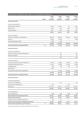|                                           | <b>Notes</b> | Group<br>2014<br>$(s$ ooos $)$ | Group<br>2013<br>$(s$ ooos $)$ | Parent<br>2014<br>$(s$ ooos $)$ | Parent<br>2013<br>(\$000S) |
|-------------------------------------------|--------------|--------------------------------|--------------------------------|---------------------------------|----------------------------|
| Operating activities                      |              |                                |                                |                                 |                            |
| Cash was provided from:                   |              |                                |                                |                                 |                            |
| Receipts from customers                   |              | 67,136                         | 37,476                         | 93                              | 24,171                     |
| Other income                              |              | 1,086                          | 788                            | 960                             | 788                        |
| Interest received                         |              | 2,613                          | 1,208                          | 2,559                           | 1,196                      |
|                                           |              | 70,835                         | 39,472                         | 3,612                           | 26,155                     |
| Cash was applied to:                      |              |                                |                                |                                 |                            |
| Payments to suppliers and employees       |              | (87, 780)                      | (44, 639)                      | (28, 912)                       | (35, 837)                  |
| Sales tax                                 |              | (3,395)                        | (2,190)                        | $\overline{\phantom{0}}$        | (666)                      |
| Income tax (paid)/received                |              | (679)                          | (175)                          |                                 | 1                          |
|                                           |              | (91, 854)                      | (47,004)                       | (28, 912)                       | (36, 502)                  |
| Net cash flows from operating activities  | 14           | (21, 019)                      | (7,532)                        | (25, 300)                       | (10, 347)                  |
| Investing activities                      |              |                                |                                |                                 |                            |
| Cash was provided from:                   |              |                                |                                |                                 |                            |
| Disposal of property, plant and equipment |              |                                | 158                            | $\overline{a}$                  | 250                        |
| Rental bond repaid                        |              | $\overline{a}$                 | 20                             | $\overline{a}$                  | 20                         |
|                                           |              |                                | 178                            |                                 | 270                        |
| Cash was applied to:                      |              |                                |                                |                                 |                            |
| Purchase of property, plant and equipment |              | (5, 150)                       | (4, 566)                       | (2,537)                         | (1, 897)                   |
| Capitalised development costs             |              | (21, 540)                      | (7,654)                        | (11,081)                        | (6, 395)                   |
| Intangible assets                         |              | (63)                           | (28)                           | (64)                            | (28)                       |
| Rental bonds                              |              | (627)                          |                                |                                 |                            |
| Investment and advances to subsidiaries   |              |                                | (1,200)                        | (15, 356)                       | (2,796)                    |
|                                           |              | (27, 380)                      | (13, 448)                      | (29, 038)                       | (11, 116)                  |
| Net cash flows from investing activities  |              | (27, 380)                      | (13, 270)                      | (29, 038)                       | (10, 846)                  |
| <b>Financing activities</b>               |              |                                |                                |                                 |                            |
| Cash was provided from:                   |              |                                |                                |                                 |                            |
| Director's loan repayment                 |              |                                | 100                            | $\overline{\phantom{0}}$        | 100                        |
| Employees exercising options              |              | 492                            |                                | 492                             |                            |
| Share issue                               |              | 180,000                        | 60,000                         | 180,000                         | 60,000                     |
|                                           |              | 180,492                        | 60,100                         | 180,492                         | 60,100                     |
| Cash was applied to:                      |              |                                |                                |                                 |                            |
| Cost of share issue                       |              | (438)                          | (118)                          | (438)                           | (118)                      |
| Net cash flows from financing activities  |              | 180,054                        | 59,982                         | 180,054                         | 59,982                     |
| Net increase in cash held                 |              | 131,655                        | 39,180                         | 125,716                         | 38,789                     |
| Foreign currency translation adjustment   |              | (13)                           | 88                             |                                 |                            |

Cash and cash equivalents at beginning of the year 78,244 78,244 38,976 75,511 36,722 Cash and cash equivalents at end of the year 8 209,886 78,244 201,227 75,511

*The accompanying notes form an integral part of these financial statements.*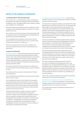# **NOTES TO THE FINANCIAL STATEMENTS**

# **1. REPORTING ENTITY AND STATUTORY BASE**

Xero Limited ("Xero") is a limited liability company, domiciled and incorporated in New Zealand and registered under the New Zealand Companies Act 1993. The registered office of the Company is 3 Market Lane, Wellington 6011, New Zealand.

The financial statements presented are for Xero Limited (the "Parent"/ "Company") and its subsidiaries (together "the Group") for the year ended 31 March 2014.

Xero Limited is an issuer for the purposes of the Financial Reporting Act 1993 and is listed on the New Zealand Stock Exchange (NZX) and the Australian Securities Exchange (ASX).

The consolidated financial statements of the Group for the year ended 31 March 2014 were authorised for issue in accordance with a resolution of the Directors on 22 May 2014.

The Group's principal activity is the provision of a platform for online accounting and business services to small businesses and their advisors.

# **2. BASIS OF ACCOUNTING**

(a) Basis of preparation The financial statements have been prepared in accordance with New Zealand Generally Accepted Accounting Practice. They comply with New Zealand Equivalents to International Financial Reporting Standards ("NZ IFRS"), and other applicable Financial Reporting Standards, as appropriate for profit oriented entities. The financial statements comply with International Financial Reporting Standards ("IFRS").

The financial statements have been prepared in accordance with the requirements of the Financial Reporting Act 1993 and Companies Act 1993.

The Company and Group are profit oriented entities for financial reporting purposes.

The consolidated financial statements have been prepared using the historical cost convention.

The consolidated and Parent financial statements are presented in New Zealand dollars (\$) (the "presentation currency"), which is the Company's functional currency. Items included in the financial statements of each of the Group's entities are measured using the currency of the primary economic environment in which the entity operates ("the functional currency").

Transactions denominated in a foreign currency are converted at the functional currency exchange rate at the date of the transaction. Foreign currency receivables and payables at balance date are translated at exchange rates existing at balance date. Exchange differences arising on the translation of monetary assets and liabilities, including foreign currency accounts payable and receivable, are recognised in the Income Statement. Foreign exchange gains and losses are presented in the Income Statement within general and administration expenses.

(b) Changes in accounting policies and disclosures Apart from the changes noted below, the accounting policies adopted are consistent with those of the previous year.

Xero has elected to change how expenses are presented in the Income Statement from a nature view to a function view. The change provides better insight into the Group's performance and operations. The comparative Income Statements and comparative segment results have been reclassified with operating expenses of \$55,573,000 for the Group and \$45,398,000 for the Parent reclassified into cost of revenue, sales and marketing, product design and development and general and administration. There is no change to the total reported loss as a result of this change.

Xero has re-presented its comparative segment results to separate the North American operations previously aggregated with the Rest of World segment. This change reflects the growing importance of North America to the Group's operations and changes to management accountabilities during the period. There is no change to the overall Group reported loss as a result of these changes.

The Group has adopted External Reporting Board Standard A1, Accounting Standards Framework (For-profit Entities Update) (XRB A1). XRB A1 establishes a for-profit tier structure and outlines which suite of accounting standards entities in different tiers must follow. The Group is a Tier 1 entity. There was no impact on the current or prior year financial statements.

The Group has applied the following standards for the first time: IFRS 10 Consolidated Financial Statements, IFRS 11 Joint Arrangements, IAS 19 Employee Benefits (Revised 2011), IFRS 13 Fair Value Measurement, Amendments to IAS 1 Presentation of Financial Statements and IFRS 12 Disclosure of Interests in Other Entities. The adoption of these standards has not had a material impact on these financial statements and has not resulted in any restatements of prior period balances.

Certain other comparative information has also been reclassified to conform with the current period's presentation.

(c) Standards or interpretations issued but not yet effective and relevant to the Group There are no standards or amendments that have been issued but are not yet effective, that are expected to have a significant impact on the Company or the Group.

The Company and Group have not adopted any standards prior to their effective date.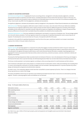#### **2. BASIS OF ACCOUNTING (CONTINUED)**

(d) Critical accounting estimates In applying the Group's accounting policies, management continually evaluates judgements, estimates and assumptions based on experience and other factors, including expectations of future events that may have an impact on the Group. All judgements, estimates and assumptions made are believed to be reasonable based on the most current set of circumstances available to the Group. Actual results may differ from the judgements, estimates and assumptions.

The significant judgements, estimates and assumptions made by management in the preparation of these financial statements are outlined below.

Deferred tax assets The Group recognises a deferred tax asset in relation to tax losses, only to the extent of the Group's deferred tax liabilities. The Parent has not recognised a deferred tax asset in respect of losses and other temporary differences given the uncertainty of the timing of profitability and the requirement for ownership continuity. Deferred tax assets are recognised in the subsidiaries in respect of losses and other temporary differences to the extent that it is probable they will be available to be utilised by future taxable profits.

Capitalised development costs The Group capitalises its development costs based on a proportion of employee costs. The percentages applied are in line with industry standards. The Group regularly reviews the carrying value of capitalised development costs to ensure they are not impaired. The development costs are amortised over five years, the expected useful life of the asset.

A reduction in the useful life of capitalised development costs from five to four years, would have resulted in an increase in amortisation expense of \$1.8 million in the year ended 31 March 2014.

#### **3. SEGMENT INFORMATION**

Segment reporting An operating segment is a component of an entity that engages in business activities from which it may earn revenue and incur expenses, whose operating results are regularly reviewed by the entity's Chief Operating Decision Maker to make decisions about resources to be allocated to the segment and assess its performance, and for which discrete financial information is available. Operating segments are aggregated for disclosure purposes where they have similar products and services, production processes, customers, distribution methods and regulatory environment.

Previously the Chief Operating Decision Maker was determined to be the Board of Directors. Due to the development of the Group and changes to the financial information that is reported internally, the Chief Operating Decision Maker has now been determined as the Global Executive Team.

The Group currently operates in one business segment, providing an online accounting solution for small businesses and their advisors.

Cost of revenues is allocated to each country based on a consistent percent of subscription revenue. Sales and marketing costs including direct in-country costs along with an allocation of centrally managed costs and overheads. Operating expenses for Corporate represent all product design and development and general and administration expenses.

As noted in note 2, the comparative segment results have been reclassified to present expenses by function. There is no change to the total Group reported loss as a result of this change.

The assets and liabilities of the Group are reported to and reviewed by the Global Executive Team in total and are not allocated by operating segment. Therefore, operating segment assets and liabilities are not disclosed.

|                                          | <b>New</b><br>Zealand<br>$(s$ ooos $)$ | Australia<br>$(s$ ooos $)$ | United<br>Kingdom<br>$(s$ ooos $)$ | North<br>America<br>$(s$ ooos $)$ | Rest of<br>$(s$ ooos $)$ | World Corporate<br>$(s$ ooos $)$ | Total<br>$(s$ ooos) |
|------------------------------------------|----------------------------------------|----------------------------|------------------------------------|-----------------------------------|--------------------------|----------------------------------|---------------------|
| Group - For the year ended 31 March 2014 |                                        |                            |                                    |                                   |                          |                                  |                     |
| Subscription revenue                     | 23,183                                 | 27,642                     | 9,807                              | 3,274                             | 2,645                    | $\overline{\phantom{a}}$         | 66,551              |
| Other operating revenue                  | 827                                    | 1,655                      | 622                                | 315                               | 27                       | 94                               | 3,540               |
| Other income                             | $\overline{\phantom{0}}$               | $\mathbf{1}$               | $\overline{\phantom{m}}$           | 125                               | $\overline{\phantom{m}}$ | 1,257                            | 1,383               |
| Interest income                          | $\overline{\phantom{0}}$               |                            | -                                  | $\qquad \qquad -$                 | -                        | 5,062                            | 5,062               |
| Total                                    | 24,010                                 | 29,298                     | 10,429                             | 3,714                             | 2,672                    | 6,413                            | 76,536              |
| Cost of revenues                         | (8,540)                                | (10, 183)                  | (3, 613)                           | (1, 206)                          | (974)                    | $\overline{\phantom{a}}$         | (24, 516)           |
| Sales and marketing                      | (5, 443)                               | (21,080)                   | (7, 418)                           | (20, 383)                         | (781)                    | $\overline{\phantom{a}}$         | (55, 105)           |
| Product design and development           | $\qquad \qquad -$                      |                            |                                    |                                   | $\overline{ }$           | (18, 409)                        | (18, 409)           |
| General and administration               | $\overline{\phantom{0}}$               |                            |                                    |                                   | $\overline{\phantom{0}}$ | (12, 406)                        | (12, 406)           |
| Total expenses                           | (13, 983)                              | (31, 263)                  | (11, 031)                          | (21, 589)                         | (1,755)                  | (30, 815)                        | (110, 436)          |
| Segment contribution                     | 10,027                                 | (1, 965)                   | (602)                              | (17, 875)                         | 917                      | (24, 402)                        | (33,900)            |

At 31 March 2014, \$40.7 million of the Group's property, plant and equipment and intangible assets was domiciled in New Zealand (2013: \$22.2 million).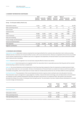# **3. SEGMENT INFORMATION (CONTINUED)**

|                                          | <b>New</b><br>Zealand<br>$(s$ ooos $)$ | Australia<br>$(s$ ooos $)$ | United<br>Kingdom<br>$(s$ ooos $)$ | North<br>America<br>$(s$ ooos $)$ | Rest of<br>$(s$ ooos $)$ | World Corporate<br>$(s$ ooos $)$ | Total<br>$($ \$000s $)$ |
|------------------------------------------|----------------------------------------|----------------------------|------------------------------------|-----------------------------------|--------------------------|----------------------------------|-------------------------|
| Group - For the year ended 31 March 2013 |                                        |                            |                                    |                                   |                          |                                  |                         |
| Subscription revenue                     | 15,654                                 | 12,628                     | 5,120                              | 1,313                             | 1,373                    | $\overline{a}$                   | 36,088                  |
| Other operating revenue                  | 705                                    | 1,106                      | 357                                | 32                                | 4                        | 61                               | 2,265                   |
| Other income                             | $\overline{\phantom{0}}$               |                            | $\equiv$                           | $\qquad \qquad -$                 | -                        | 936                              | 936                     |
| Interest income                          | $\overline{\phantom{0}}$               | $\qquad \qquad$            | -                                  | $\overline{\phantom{0}}$          | $\overline{\phantom{0}}$ | 1,838                            | 1,838                   |
| Total                                    | 16,359                                 | 13,734                     | 5,477                              | 1,345                             | 1,377                    | 2,835                            | 41,127                  |
| Cost of revenues                         | (6,037)                                | (4,870)                    | (1, 974)                           | (506)                             | (529)                    | $\qquad \qquad -$                | (13, 916)               |
| Sales and marketing                      | (5,387)                                | (8,792)                    | (3,513)                            | (4, 194)                          | (157)                    | $\overline{\phantom{m}}$         | (22, 043)               |
| Product design and development           | $\overline{\phantom{m}}$               | $\overline{\phantom{m}}$   | $\qquad \qquad -$                  | $\qquad \qquad$                   | $\overline{\phantom{m}}$ | (11, 618)                        | (11, 618)               |
| General and administration               | $\equiv$                               |                            |                                    |                                   | -                        | (7,996)                          | (7,996)                 |
| Total expenses                           | (11, 424)                              | (13, 662)                  | (5, 487)                           | (4,700)                           | (686)                    | (19, 614)                        | (55, 573)               |
| Segment contribution                     | 4,935                                  | 72                         | (10)                               | (3,355)                           | 691                      | (16, 779)                        | (14, 446)               |

#### **4. REVENUES AND EXPENSES**

Subscription revenue Subscription revenue comprises the recurring monthly fee from customers who subscribe to Xero's online accounting software services. Customers are invoiced monthly in arrears, with no set contractual term. Revenue is recognised as the services are provided to the customer. Revenues that are unbilled at year end is recognised in the Statements of Financial Position as accrued income and included within trade and other receivables.

Interest Interest income is recognised on an accruals basis using the effective interest rate method.

Government grants Government grants are recognised at their fair value where there is reasonable assurance that the grants will be received and all attaching conditions have been complied with.

Sales tax The Income Statements and the Statements of Cash Flows have been prepared so that all components are stated exclusive of sales tax, except where sales tax is not recoverable. All items in the Statements of Financial Position are stated net of sales tax with the exception of receivables and payables, which include sales tax invoiced. Sales tax includes Goods and Services Tax and Value Added Tax where applicable.

Overhead allocation The presentation of the Income Statements by function requires certain overhead costs to be allocated to functions. These allocations require management to apply judgement. Facilities, internal information technology costs and depreciation and amortisation not relating to product software development have been allocated to each function on a headcount basis. Recruitment costs have been allocated according to the number of employees hired during the period. The amortisation of product related software development is included in product design and development.

|                          | Group<br>2014<br>$(s$ ooos $)$ | Group<br>2013<br>$(s$ ooos $)$ | Parent*<br>2014<br>$(s$ ooos $)$ | Parent*<br>2013<br>$(s$ ooos $)$ |
|--------------------------|--------------------------------|--------------------------------|----------------------------------|----------------------------------|
| <b>Operating revenue</b> |                                |                                |                                  |                                  |
| Subscription revenue     | 66,551                         | 36,088                         | -                                | 16,281                           |
| Other operating revenue  | 3,540                          | 2,265                          | 50,095                           | 10,071                           |
| Total operating revenue  | 70,091                         | 38,353                         | 50,095                           | 26,352                           |

*\*Operating revenue for the Parent company includes \$50.0 million of revenue received from subsidiary companies (2013: \$9.3 million).*

*Continued on next page ...*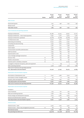|                                                                                      |              | Group<br>2014 | Group<br>2013  | Parent<br>2014    | Parent<br>2013 |
|--------------------------------------------------------------------------------------|--------------|---------------|----------------|-------------------|----------------|
|                                                                                      | <b>Notes</b> | $(s$ ooos $)$ | (\$000S)       | (\$000S)          | (\$000S)       |
| Other income                                                                         |              |               |                |                   |                |
| Government grants                                                                    |              | 1,257         | 936            | 1,257             | 936            |
| Rental income                                                                        |              | 126           |                |                   |                |
| Total other income                                                                   |              | 1,383         | 936            | 1,257             | 936            |
| Cost of revenues and operating expenses                                              |              |               |                |                   |                |
| Employee entitlements                                                                |              | 60,388        | 29,245         | 38,927            | 22,070         |
| Employee entitlements - share-based payments                                         |              | 8,497         | 5,270          | 3,904             | 4,262          |
| Employee entitlements capitalised                                                    |              | (19, 787)     | (8, 466)       | (19, 787)         | (8,393)        |
| IT infrastructure costs                                                              |              | 10,510        | 7,527          | 6,016             | 6,401          |
| Advertising and marketing                                                            |              | 16,232        | 5,623          | 2,050             | 1,603          |
| Consulting and subcontracting                                                        |              | 4,353         | 1,922          | 2,409             | 1,308          |
| Lease/rental                                                                         |              | 4,481         | 1,771          | 1,496             | 1,174          |
| Travel related                                                                       |              | 3,537         | 1,453          | 1,126             | 642            |
| Communication and office administration                                              |              | 2,788         | 1,370          | 1,485             | 942            |
| Staff recruitment                                                                    |              | 1,843         | 824            | 628               | 605            |
| Superannuation costs                                                                 |              | 1,759         | 765            | 711               | 467            |
| Loss on foreign exchange transactions                                                |              | 690           |                |                   |                |
| Directors' fees                                                                      | 16           | 280           | 442            | 839<br><b>280</b> | 417            |
| Auditors remuneration                                                                |              |               | 243            |                   | 243            |
|                                                                                      | 15           | 206           | 183            | 158               | 134            |
| Expenses paid to subsidiary companies                                                | 16           |               | $\overline{a}$ | 41,403            | 7,960          |
| Loss/(gain) on disposal of property, plant and equipment                             |              | 11            | (13)           | 5                 | (14)           |
| Other operating expenses                                                             |              | 5,728         | 3,086          | 3,125             | 1,868          |
| Total cost of revenues and operating expenses<br>excl. depreciation and amortisation |              | 101,516       | 51,245         | 84,775            | 41,689         |
|                                                                                      |              |               |                |                   |                |
| Depreciation and amortisation expense                                                |              |               |                |                   |                |
| Amortisation of development costs                                                    | 11           | 6,412         | 3,186          | 6,412             | 2,749          |
| Amortisation of other intangible assets                                              | 11           | 214           | 12             | 203               | 12             |
| Property, plant and equipment                                                        | 10           | 2,294         | 1,130          | 1,172             | 948            |
| Total depreciation and amortisation                                                  |              | 8,920         | 4,328          | 7,787             | 3,709          |
| Total cost of revenues and operating expenses                                        |              | 110,436       | 55,573         | 92,562            | 45,398         |
| Depreciation and amortisation expense                                                |              |               |                |                   |                |
| Included in                                                                          |              |               |                |                   |                |
| Cost of revenues                                                                     |              | 1,515         | 277            | 402               | 270            |
| Sales and marketing expenses                                                         |              | 1,036         | 443            | 229               | 174            |
| Product design and development expenses                                              |              | 6,143         | 3,484          | 6,973             | 3,094          |
| General and administration expenses                                                  |              | 226           | 124            | 183               | 171            |
| Total depreciation and amortisation expense                                          |              | 8,920         | 4,328          | 7,787             | 3,709          |
| <b>Interest income</b>                                                               |              |               |                |                   |                |
| Interest income - bank                                                               |              | 4,974         | 1,794          | 4,921             | 1,783          |
| Interest income - loans to key management personnel                                  | 16           | 88            | 44             | 88                | 44             |
| Net interest income                                                                  |              | 5,062         | 1,838          | 5,009             | 1,827          |

Net operating loss before tax (33,900) (14,446) (36,201) (16,283)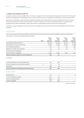# **5. CURRENT AND DEFERRED INCOME TAX**

Tax expense comprises current and deferred tax. Income tax is recognised in the Income Statements except when it relates to items recognised directly in the Statements of Comprehensive Income, in which case the income tax is recognised in the Statements of Comprehensive Income.

Deferred tax is recognised in respect of temporary differences between the carrying amounts of assets and liabilities for financial reporting purposes and the amounts used for taxation purposes. The amount of deferred tax is based on the expected manner of realisation of the carrying amount of assets and liabilities, using tax rates enacted or substantially enacted at the end of the reporting period.

A deferred tax asset is recognised only to the extent that it is probable that future taxable profits will be available against which the asset can be utilised.

#### Current income tax

The tax on the Group's loss before tax differs from the theoretical amount that would arise using the weighted average tax rate applicable to the profits or loss of the consolidated entities as follows:

|                                                  | Note | Group<br>2014<br>$(s$ ooos $)$ | Group<br>2013<br>$(s$ ooos $)$ | Parent<br>2014<br>$(s$ ooos $)$ | Parent<br>2013<br>$($ \$000s $)$ |
|--------------------------------------------------|------|--------------------------------|--------------------------------|---------------------------------|----------------------------------|
| Accounting loss before income tax                |      | (33,900)                       | (14, 446)                      | (36, 201)                       | (16, 283)                        |
| At the statutory income tax rate of 28%          |      | (9, 492)                       | (4,045)                        | (10, 136)                       | (4, 559)                         |
| Non-deductible expenditure                       |      | 386                            | 413                            | 336                             | 380                              |
| Adjustment in respect of prior periods           |      | 225                            | 59                             | 135                             | 42                               |
| Tax rate variance of subsidiaries                |      | 136                            |                                |                                 |                                  |
| Total tax losses not recognised                  |      | 9,553                          | 3,804                          | 9,665                           | 4,137                            |
| Income tax expense reported in Income Statements |      | 808                            | 231                            |                                 |                                  |

*Comprising:*

| Income tax payable from continuing operations         | 1,155 | 248 |                          |  |
|-------------------------------------------------------|-------|-----|--------------------------|--|
| Income tax payable from discontinued operation        |       | 65  | $\overline{\phantom{0}}$ |  |
| Deferred tax                                          | (347) |     |                          |  |
| Income tax expense (including discontinued operation) | 855   | 296 |                          |  |

#### Income tax payable

| Opening balance                   | 209   |       |                          | (1) |
|-----------------------------------|-------|-------|--------------------------|-----|
| Income tax liability for the year | 1.202 | 313   |                          |     |
| Income tax (paid)/received        | (679) | (175) | $\overline{\phantom{m}}$ |     |
| Current tax payable               | 732   | 209   | $\overline{\phantom{a}}$ |     |

*Continued on next page ...*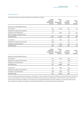#### Deferred income tax

The analysis of deferred tax assets and deferred tax liabilities is as follows:

|                                          | Group<br>employee<br>entitlements<br>$(s$ ooos $)$  | Group<br>tax<br>depreciation<br>$(s$ ooos $)$  | Group<br>tax losses<br>$(s$ ooos $)$  | Group<br>net<br>$(s$ ooos $)$  |
|------------------------------------------|-----------------------------------------------------|------------------------------------------------|---------------------------------------|--------------------------------|
| Deferred tax asset/(liability) balances: |                                                     |                                                |                                       |                                |
| At 1 April 2013                          | 385                                                 | (1, 133)                                       | 850                                   | 102                            |
| Adjustment in respect of prior periods   | (13)                                                |                                                | 13                                    |                                |
| Charged to Income Statements             | 717                                                 | (364)                                          | (6)                                   | 347                            |
| Effect of changes in foreign currency    |                                                     |                                                | 37                                    | 37                             |
| At 31 March 2014                         | 1,089                                               | (1, 497)                                       | 894                                   | 486                            |
| At 1 April 2012                          | 524                                                 | (762)                                          | 323                                   | 85                             |
| Adjustment in respect of prior periods   | (194)                                               |                                                | 194                                   |                                |
| Charged to Income Statements             | 55                                                  | (371)                                          | 333                                   | 17                             |
| At 31 March 2013                         | 385                                                 | (1, 133)                                       | 850                                   | 102                            |
|                                          | Parent<br>employee<br>entitlements<br>$(s$ ooos $)$ | Parent<br>tax<br>depreciation<br>$(s$ ooos $)$ | Parent<br>tax losses<br>$(s$ ooos $)$ | Parent<br>net<br>$(s$ ooos $)$ |
| Deferred tax asset/(liability) balances: |                                                     |                                                |                                       |                                |
| At 1 April 2013                          | 274                                                 | (1, 212)                                       | 938                                   |                                |
| Adjustment in respect of prior periods   | 68                                                  |                                                | (68)                                  |                                |
| Charged to Income Statements             | 279                                                 | (371)                                          | 92                                    |                                |
| At 31 March 2014                         | 621                                                 | (1, 583)                                       | 962                                   |                                |
| At 1 April 2012                          | 327                                                 | (762)                                          | 435                                   |                                |
| Adjustment in respect of prior periods   | 63                                                  | 37                                             | (100)                                 |                                |
| Charged to Income Statements             | (116)                                               | (487)                                          | 603                                   |                                |
| At 31 March 2013                         | 274                                                 | (1, 212)                                       | 938                                   |                                |

The Group's deferred tax assets are expected to reverse after 12 months. Deferred tax assets and liabilities have been offset where the balances are due to/receivable from the same counterparties. Deferred income tax assets are recognised for carried forward tax losses to the extent of the Company's deferred tax liabilities. The Company has unrecognised New Zealand tax losses available to carry forward of \$78,490,000 (2013: \$49,657,000) subject to shareholder continuity being maintained as required by New Zealand tax legislation.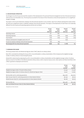# **6. DISCONTINUED OPERATION**

On 28 August 2013 the Group announced the cessation of the development of its personal financial management tool Xero Personal and closure of the service on 30 November 2014. The Group has accounted for the closure of Xero Personal as a discontinued operation as it is a significant change in strategy.

The impact on the Income Statements relating to the discontinued operation is set out below. Apart from software development assets written off, there are no significant assets or liabilities relating to discontinued operation. The impact on the Statements of Cash Flows is not materially different from the revenue and operating expense amounts set out below.

|                                                       | Group<br>2014<br>$(s$ ooos $)$ | Group<br>2013<br>$(s$ ooos $)$ | Parent<br>2014<br>$(s$ ooos $)$ | Parent<br>2013<br>$($ \$000s $)$ |
|-------------------------------------------------------|--------------------------------|--------------------------------|---------------------------------|----------------------------------|
| Operating revenue                                     | 377                            | 680                            |                                 | 506                              |
| Operating expenses                                    | (293)                          | (162)                          | (293)                           | (162)                            |
| Amortisation                                          | (133)                          | (219)                          | (133)                           | (219)                            |
| Software development intangible asset write-off       | (742)                          |                                | (742)                           |                                  |
| Income tax expense relating to discontinued operation | (47)                           | (65)                           |                                 |                                  |
| Net (loss)/profit from discontinued operation         | (838)                          | 234                            | (1, 168)                        | 125                              |

#### **7. EARNINGS PER SHARE**

The Group presents basic and diluted earnings per share ("EPS") data for its ordinary shares.

Basic EPS is calculated by dividing the Group profit or loss attributable to ordinary shareholders of the Company by the weighted average number of ordinary shares on issue during the period.

Diluted EPS is determined by adjusting the profit or loss attributable to ordinary shareholders and the weighted average number of ordinary shares on issue for the effects of all dilutive potential ordinary shares, which comprise treasury stock, share options and Restricted Share Units ("RSUs") granted to employees and Directors.

|                                                                           | Group<br>2014<br>$(000s)*$ | Group<br>2013<br>(ooos)* |
|---------------------------------------------------------------------------|----------------------------|--------------------------|
| Weighted average number of issued ordinary shares                         | 120,553                    | 110,403                  |
| Weighted average number of ordinary shares for diluted earnings per share | 122,521                    | 110,820                  |
| Net loss after tax for continuing operations                              | $(*34,708)$                | $(*14,677)$              |
| Basic loss per share for continuing operations (in New Zealand dollars)   | (\$0.29)                   | (\$0.13)                 |
| Diluted loss per share for continuing operations (in New Zealand dollars) | (\$0.28)                   | (\$0.13)                 |
| Net loss after tax                                                        | $(*35,546)$                | $(*14, 443)$             |
| Basic and diluted loss per share (in New Zealand dollars)                 | (\$0.29)                   | $($ \$0.13 $)$           |

*\*Except for per share amounts.*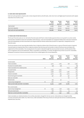# **8. CASH AND CASH EQUIVALENTS**

Cash and cash equivalents comprise cash on hand, deposits held at call with banks, other short-term and highly liquid investments with original maturities of six months or less.

|                                 | Group<br>2014<br>$(s$ ooos $)$ | Group<br>2013<br>$(s$ ooos $)$ | Parent<br>2014<br>$(s$ ooos $)$ | Parent<br>2013<br>$(s$ ooos $)$ |
|---------------------------------|--------------------------------|--------------------------------|---------------------------------|---------------------------------|
| Cash at bank                    | 14,886                         | 68,244                         | 6,227                           | 65,511                          |
| Short term deposits             | 195,000                        | 10,000                         | 195,000                         | 10,000                          |
| Total cash and cash equivalents | 209,886                        | 78,244                         | 201,227                         | 75,511                          |

# **9. TRADE AND OTHER RECEIVABLES**

The Group's financial assets are non-derivative financial assets with fixed or determinable payments that are not quoted in an active market and have been classified as loans and receivables under NZ IAS 39. Loans and receivables are recognised initially at fair value plus transaction costs and subsequently carried at amortised cost using the effective interest method less provision for impairment. Prepayments are not financial assets.

The Group assesses at each reporting date whether there is objective evidence that a financial asset or a group of financial assets is impaired. Financial assets are impaired when there is objective evidence that the Group will not be able to collect all amounts due according to the original terms of the receivables. The carrying amount of an asset is reduced through the use of a provision account, and the amount of the loss is recognised in the Income Statements. When a receivable is uncollectible, it is written off against the provision account for receivables. Subsequent recoveries of amounts previously written off are credited against the Income Statements.

|                                           |             | Group                    | Group                    | Parent                   | Parent                |
|-------------------------------------------|-------------|--------------------------|--------------------------|--------------------------|-----------------------|
|                                           | <b>Note</b> | 2014<br>$($ sooos $)$    | 2013<br>$($ \$000s $)$   | 2014<br>$(s$ ooos $)$    | 2013<br>$($ sooos $)$ |
| Current assets                            |             |                          |                          |                          |                       |
| Trade receivables                         |             | 3,722                    | 2,163                    | 278                      | 1,092                 |
| Provision for doubtful debts              |             | (30)                     | (47)                     | $\overline{a}$           | (15)                  |
| Trade receivables from related parties    | 16          | $\overline{\phantom{0}}$ | $\overline{\phantom{0}}$ | 8,513                    | 3,688                 |
| Accrued income                            |             | 3,250                    | 1,505                    | $\overline{\phantom{0}}$ | 613                   |
| Prepayments                               |             | 2,658                    | 1,100                    | 1,467                    | 704                   |
| Interest receivable                       |             | 3,107                    | 745                      | 3,107                    | 745                   |
| Government grant receivable               |             | 337                      | 318                      | 337                      | 318                   |
| Sales tax receivable                      |             | -                        | $\overline{\phantom{a}}$ | 177                      | 32                    |
| Rental bonds                              |             | 149                      | 92                       | $\overline{\phantom{0}}$ |                       |
| Loans to key management                   | 16          | 1,181                    | $\qquad \qquad -$        | 1,181                    |                       |
| Total current trade and other receivables |             | 14,374                   | 5,876                    | 15,060                   | 7,177                 |
| Non-current assets                        |             |                          |                          |                          |                       |
| Loans to key management                   | 16          | 1,595                    | 1,138                    | 1,595                    | 1,138                 |
| NZX and rental bonds                      |             | 776                      | 203                      | 75                       | 75                    |
| Total non-current and other receivables   |             | 2,371                    | 1,341                    | 1,670                    | 1,213                 |

Trade receivables are related primarily to the monthly subscription charged for the Xero service. Subscriptions are charged monthly in arrears and paid by direct debit. At 31 March 2014, trade receivables of the Group of \$116,000 were past due and are considered partially impaired (2013: \$72,000).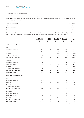# **10. PROPERTY, PLANT AND EQUIPMENT**

Property, plant and equipment is stated at historical cost less depreciation.

Depreciation on assets is charged on a straight-line method to allocate the difference between their original costs and the residual values over their estimated useful lives, as follows:

| Leasehold improvements  | Term of lease |
|-------------------------|---------------|
| Motor vehicles          | 5 years       |
| Computer equipment      | 2-3 years     |
| Furniture and equipment | 2-7 years     |

The assets' residual values and useful lives are reviewed and adjusted if appropriate at each balance date. If an asset's carrying amount is greater than its estimated recoverable amount, the carrying amount is written down immediately to its recoverable amount.

|                                  | Leasehold<br>improvements<br>$(s$ ooos $)$ | Motor<br>vehicles<br>$(s$ ooos $)$ | equipment<br>$(s$ ooos $)$ | Computer Furniture and<br>equipment<br>$(s$ ooos $)$ | Total<br>$(s$ ooos $)$ |
|----------------------------------|--------------------------------------------|------------------------------------|----------------------------|------------------------------------------------------|------------------------|
| Group - Year ended 31 March 2014 |                                            |                                    |                            |                                                      |                        |
| Cost                             |                                            |                                    |                            |                                                      |                        |
| Balance as at 1 April 2013       | 4,897                                      | 176                                | 2,091                      | 1,651                                                | 8,815                  |
| Additions                        | 1,100                                      | 27                                 | 1,734                      | 2,340                                                | 5,201                  |
| Disposals                        |                                            | (16)                               | (363)                      | (8)                                                  | (387)                  |
| Foreign exchange adjustment      | (258)                                      | $\overline{a}$                     | (67)                       | (61)                                                 | (386)                  |
| Balance as at 31 March 2014      | 5,739                                      | 187                                | 3,395                      | 3,922                                                | 13,243                 |
| Depreciation                     |                                            |                                    |                            |                                                      |                        |
| Balance as at 1 April 2013       | 411                                        | 54                                 | 771                        | 305                                                  | 1,541                  |
| Depreciation expense             | 842                                        | 42                                 | 910                        | 500                                                  | 2,294                  |
| Disposals                        |                                            | (12)                               | (356)                      | (8)                                                  | (376)                  |
| Foreign exchange adjustment      | (29)                                       | $\overline{a}$                     | (30)                       | (13)                                                 | (72)                   |
| Balance as at 31 March 2014      | 1,224                                      | 84                                 | 1,295                      | 784                                                  | 3,387                  |
| Net carrying amount              | 4,515                                      | 103                                | 2,100                      | 3,138                                                | 9,856                  |
| Group - Year ended 31 March 2013 |                                            |                                    |                            |                                                      |                        |
| Cost                             |                                            |                                    |                            |                                                      |                        |
| Balance as at 1 April 2012       | 2,784                                      | 116                                | 1,003                      | 870                                                  | 4,773                  |
| Additions                        | 2,114                                      | 120                                | 1,207                      | 784                                                  | 4,225                  |
| Disposals                        |                                            | (60)                               | (118)                      | (3)                                                  | (181)                  |
| Foreign exchange adjustment      | (1)                                        |                                    | (1)                        |                                                      | (2)                    |
| Balance as at 31 March 2013      | 4,897                                      | 176                                | 2,091                      | 1,651                                                | 8,815                  |
| Depreciation                     |                                            |                                    |                            |                                                      |                        |
| Balance as at 1 April 2012       | 14                                         | 78                                 | 404                        | 82                                                   | 578                    |
| Depreciation expense             | 397                                        | 36                                 | 474                        | 223                                                  | 1,130                  |
| Disposals                        | $\overline{\phantom{0}}$                   | (60)                               | (107)                      | $\overline{\phantom{0}}$                             | (167)                  |
| Balance as at 31 March 2013      | 411                                        | 54                                 | 771                        | 305                                                  | 1,541                  |
| Net carrying amount              | 4,486                                      | 122                                | 1,320                      | 1,346                                                | 7,274                  |

*Continued on next page ...*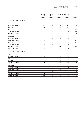|                                   | Leasehold<br>improvements<br>$(s$ ooos $)$ | Motor<br>vehicles<br>$(s$ ooos $)$ | equipment<br>$(s$ ooos $)$ | Computer Furniture and<br>equipment<br>$(s$ ooos $)$ | Total<br>(\$000S) |
|-----------------------------------|--------------------------------------------|------------------------------------|----------------------------|------------------------------------------------------|-------------------|
| Parent - Year ended 31 March 2014 |                                            |                                    |                            |                                                      |                   |
| Cost                              |                                            |                                    |                            |                                                      |                   |
| Balance as at 1 April 2013        | 3,083                                      | 176                                | 1,449                      | 1,153                                                | 5,861             |
| Additions                         | 540                                        |                                    | 832                        | 1,217                                                | 2,589             |
| Disposals                         |                                            | $\qquad \qquad -$                  | (277)                      | (6)                                                  | (283)             |
| Transferred to subsidiaries       | (260)                                      | (176)                              | (21)                       | (281)                                                | (738)             |
| Balance as at 31 March 2014       | 3,363                                      | $\overline{\phantom{a}}$           | 1,983                      | 2,083                                                | 7,429             |
| Depreciation                      |                                            |                                    |                            |                                                      |                   |
| Balance as at 1 April 2013        | 362                                        | 54                                 | 598                        | 259                                                  | 1,273             |
| Depreciation expense              | 383                                        | $\qquad \qquad -$                  | 514                        | 275                                                  | 1,172             |
| Disposals                         | $\overline{\phantom{a}}$                   | $\overline{a}$                     | (272)                      | (6)                                                  | (278)             |
| Transferred to subsidiaries       | (58)                                       | (54)                               |                            | (55)                                                 | (167)             |
| Balance as at 31 March 2014       | 687                                        | $\overline{\phantom{a}}$           | 840                        | 473                                                  | 2,000             |
| Net carrying amount               | 2,676                                      | -                                  | 1,143                      | 1,610                                                | 5,429             |
| Parent - Year ended 31 March 2013 |                                            |                                    |                            |                                                      |                   |
| Cost                              |                                            |                                    |                            |                                                      |                   |
| Balance as at 1 April 2012        | 2,754                                      | 116                                | 833                        | 765                                                  | 4,468             |
| Additions                         | 329                                        | 120                                | 717                        | 390                                                  | 1,556             |
| Disposals                         |                                            | (60)                               | (1O1)                      | (2)                                                  | (163)             |
| Balance as at 31 March 2013       | 3,083                                      | 176                                | 1,449                      | 1,153                                                | 5,861             |
| Depreciation                      |                                            |                                    |                            |                                                      |                   |
| Balance as at 1 April 2012        | 8                                          | 78                                 | 327                        | 65                                                   | 478               |
| Depreciation expense              | 354                                        | 36                                 | 364                        | 194                                                  | 948               |
| Disposals                         |                                            | (60)                               | (93)                       | $\overline{a}$                                       | (153)             |
| Balance as at 31 March 2013       | 362                                        | 54                                 | 598                        | 259                                                  | 1,273             |
| Net carrying amount               | 2,721                                      | 122                                | 851                        | 894                                                  | 4,588             |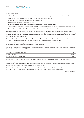#### **11. INTANGIBLE ASSETS**

Costs that are directly associated with the development of software are recognised as intangible assets where the following criteria are met:

- it is technically feasible to complete the software product so that it will be available for use;
- management intends to complete the software product and use or sell it;
- there is an ability to use or sell the software product;
- it can be demonstrated how the software product will generate probable future economic benefits;
- adequate technical, financial and other resources to complete the development and to use or sell the software product are available; and
- the expenditure attributable to the software product during its development can be reliably measured.

Directly attributable costs that are capitalised as part of the capitalised software development costs include software development employee costs. Other development expenditure that does not meet these criteria is recognised as an expense as incurred. Development costs previously recognised as expenses are not recognised as assets in a subsequent period. Computer software development costs recognised as assets are amortised over their estimated useful lives.

Other intangible assets acquired are initially measured at cost. Internally generated assets, excluding capitalised development costs, are not capitalised and expenditure is recognised in the Income Statement in the year in which the expenditure is incurred.

The useful lives of the Group's intangible assets are assessed to be finite. Assets with finite lives are amortised over their useful lives and tested for impairment whenever there are indications that the assets may be impaired.

Amortisation is recognised in the Income Statement on a straight-line basis over the estimated useful life of the intangible asset, from the date it is available for use. The estimated useful lives are as follows:

| Capitalised software development costs | 5 years   |
|----------------------------------------|-----------|
| Software licence costs                 | 2-3 years |
| Patents, domains and trademark costs   | 10 years  |

Research costs and costs associated with maintaining internal computer software programs are recognised as an expense as incurred.

At each reporting date, the Group assesses whether there is any indication that an asset may be impaired. Where an indicator of impairment exists, the Group makes a formal estimate of the recoverable amount. Where the carrying value of an asset exceeds its recoverable amount, the asset is considered impaired and is written down to its recoverable amount.

The recoverable amount is the greater of fair value less costs to sell or the asset's value in use. For the purposes of assessing impairment, assets are grouped at the lowest levels for which there are separately identifiable cash flows (cash-generating units).

*Continued on next page ...*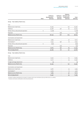|                                         | Note | Software<br>development*<br>$(s$ ooos $)$ | Software<br>licences<br>$(s$ ooos $)$ | Patents,<br>domains and<br>trademarks<br>$(s$ ooos $)$ | Total<br>$(s$ ooos $)$ |
|-----------------------------------------|------|-------------------------------------------|---------------------------------------|--------------------------------------------------------|------------------------|
| Group - Year ended 31 March 2014        |      |                                           |                                       |                                                        |                        |
| Cost                                    |      |                                           |                                       |                                                        |                        |
| Balance as at 1 April 2013              |      | 25,455                                    | $\overline{\phantom{a}}$              | 142                                                    | 25,597                 |
| Additions                               |      | 24,366                                    | 316                                   | 62                                                     | 24,744                 |
| Written off as a discontinued operation | 6    | (1, 378)                                  | $\qquad \qquad -$                     | $\overline{\phantom{a}}$                               | (1, 378)               |
| Disposals                               |      |                                           | (40)                                  | $\overline{\phantom{0}}$                               | (40)                   |
| Balance as at 31 March 2014             |      | 48,443                                    | 276                                   | 204                                                    | 48,923                 |
| Amortisation and impairment             |      |                                           |                                       |                                                        |                        |
| Balance as at 1 April 2013              |      | 7,965                                     | $\overline{a}$                        | 47                                                     | 8,012                  |
| Amortisation**                          |      | 6,545                                     | 198                                   | 16                                                     | 6,759                  |
| Written off as a discontinued operation | 6    | (636)                                     | $\overline{\phantom{a}}$              | $\overline{a}$                                         | (636)                  |
| Disposals                               |      |                                           | (40)                                  | $\qquad \qquad -$                                      | (40)                   |
| Balance as at 31 March 2014             |      | 13,874                                    | 158                                   | 63                                                     | 14,095                 |
| Net carrying amount                     |      | 34,569                                    | 118                                   | 141                                                    | 34,828                 |
| Group - Year ended 31 March 2013        |      |                                           |                                       |                                                        |                        |
| Cost                                    |      |                                           |                                       |                                                        |                        |
| Balance as at 1 April 2012              |      | 14,742                                    | $\qquad \qquad -$                     | 113                                                    | 14,855                 |
| Additions                               |      | 10,717                                    | $\qquad \qquad -$                     | 29                                                     | 10,746                 |
| Foreign exchange adjustment             |      | (4)                                       | $\overline{\phantom{a}}$              | $\overline{a}$                                         | (4)                    |
| Balance as at 31 March 2013             |      | 25,455                                    | $\overline{\phantom{a}}$              | 142                                                    | 25,597                 |
| Amortisation and impairment             |      |                                           |                                       |                                                        |                        |
| Balance as at 1 April 2012              |      | 4,560                                     | $\overline{\phantom{a}}$              | 35                                                     | 4,595                  |
| Amortisation**                          |      | 3,405                                     | $\overline{\phantom{0}}$              | 12                                                     | 3,417                  |
| Balance as at 31 March 2013             |      | 7,965                                     | $\overline{\phantom{a}}$              | 47                                                     | 8,012                  |
| Net carrying amount                     |      | 17,490                                    | $\overline{\phantom{a}}$              | 95                                                     | 17,585                 |

*\*Included in software development are projects in progress with a year end balance of \$2.95 million (2013: \$1.3 million).*

*\*\*Includes amortisation attributable to discontinued operation.*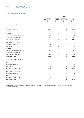# **11. INTANGIBLE ASSETS (CONTINUED)**

|                                         | <b>Note</b> | Software<br>development*<br>$(s$ ooos $)$ | Software<br>licences<br>$(s$ ooos $)$ | Patents,<br>domains and<br>trademarks<br>$(s$ ooos $)$ | Total<br>(\$000S) |
|-----------------------------------------|-------------|-------------------------------------------|---------------------------------------|--------------------------------------------------------|-------------------|
| Parent - Year ended 31 March 2014       |             |                                           |                                       |                                                        |                   |
| Cost                                    |             |                                           |                                       |                                                        |                   |
| Balance as at 1 April 2013              |             | 22,436                                    | $\qquad \qquad -$                     | 140                                                    | 22,576            |
| Additions                               |             | 24,365                                    | 299                                   | 64                                                     | 24,728            |
| Disposals                               |             | $\overline{a}$                            | (35)                                  | $\overline{\phantom{m}}$                               | (35)              |
| Written off as a discontinued operation | 6           | (1, 378)                                  | $\overline{a}$                        | $\overline{a}$                                         | (1, 378)          |
| Transferred from subsidiaries           |             | 3,019                                     | $\overline{a}$                        | $\overline{a}$                                         | 3,019             |
| Balance as at 31 March 2014             |             | 48,442                                    | 264                                   | 204                                                    | 48,910            |
| Amortisation and impairment             |             |                                           |                                       |                                                        |                   |
| Balance as at 1 April 2013              |             | 7,528                                     | $\overline{a}$                        | 47                                                     | 7,575             |
| Amortisation**                          |             | 6,545                                     | 187                                   | 16                                                     | 6,748             |
| Disposals                               |             |                                           | (35)                                  | $\overline{\phantom{0}}$                               | (35)              |
| Written off as a discontinued operation | 6           | (636)                                     | $\overline{\phantom{0}}$              | $\overline{a}$                                         | (636)             |
| Transferred from subsidiaries           |             | 436                                       | $\qquad \qquad -$                     | $\overline{\phantom{0}}$                               | 436               |
| Balance as at 31 March 2014             |             | 13,873                                    | 152                                   | 63                                                     | 14,088            |
| Net carrying amount                     |             | 34,569                                    | 112                                   | 141                                                    | 34,822            |
| Parent - Year ended 31 March 2013       |             |                                           |                                       |                                                        |                   |
| Cost                                    |             |                                           |                                       |                                                        |                   |
| Balance as at 1 April 2012              |             | 12,516                                    | $\overline{\phantom{0}}$              | 112                                                    | 12,628            |
| <b>Additions</b>                        |             | 9,920                                     | $\overline{a}$                        | 28                                                     | 9,948             |
| Balance as at 31 March 2013             |             | 22,436                                    | $\qquad \qquad -$                     | 140                                                    | 22,576            |
| Amortisation and impairment             |             |                                           |                                       |                                                        |                   |
| Balance as at 1 April 2012              |             | 4,560                                     | $\overline{\phantom{0}}$              | 35                                                     | 4,595             |
| Amortisation**                          |             | 2,968                                     | $\overline{a}$                        | 12                                                     | 2,980             |
| Balance as at 31 March 2013             |             | 7,528                                     | $\overline{\phantom{0}}$              | 47                                                     | 7,575             |
| Net carrying amount                     |             | 14,908                                    | $\qquad \qquad -$                     | 93                                                     | 15,001            |

*\*Included in software development are projects in progress with a year end balance of \$2.95 million (2013: \$1.3 million). \*\*Includes amortisation attributable to discontinued operation.*

*Capitalised software development is an internally generated cost except for \$6.0 million of externally purchased assets (2013: \$1.3 million), and including \$4.7 million of additions during the year.*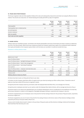#### **12. TRADE AND OTHER PAYABLES**

The Group recognises trade and other payables initially at fair value and subsequently measured at amortised cost using the effective interest method. The amounts are unsecured, non-interest bearing and usually paid within 45 days of recognition.

|                                       | <b>Note</b> | Group<br>2014<br>$(s$ ooos $)$ | Group<br>2013<br>$(s$ ooos $)$ | Parent<br>2014<br>$(s$ ooos $)$ | Parent<br>2013<br>$(s$ ooos) |
|---------------------------------------|-------------|--------------------------------|--------------------------------|---------------------------------|------------------------------|
| Trade payables                        |             | 3,561                          | 1,312                          | 1,727                           | 936                          |
| Trade payables due to related parties | 16          | $\overline{\phantom{m}}$       | $\qquad \qquad =$              | 2,685                           | 2,081                        |
| Accrued expenses                      |             | 2,188                          | 1,061                          | 948                             | 527                          |
| Income in advance                     |             | 212                            | 159                            | 28                              | 29                           |
| Sales tax payable                     |             | 1,144                          | 558                            | $\overline{\phantom{0}}$        |                              |
| Total trade and other payables        |             | 7,105                          | 3,090                          | 5,388                           | 3,573                        |

#### **13. SHARE CAPITAL**

Ordinary shares are classified as equity. Incremental costs directly attributable to the issue of new shares are shown in equity as a deduction, net of tax, from the proceeds. Where any Group company purchases the Company's equity share capital, the consideration paid is deducted from equity attributable to the Company's equity holders until the shares are cancelled or transferred outside the Group.

#### Movement in ordinary shares on issue

|                                                           |              | Group<br>2014   | Group<br>2013 | Parent<br>2014 | Parent<br>2013 |
|-----------------------------------------------------------|--------------|-----------------|---------------|----------------|----------------|
|                                                           | <b>Notes</b> | (ooos)          | (ooos)        | (ooos)         | (ooos)         |
| Balance as at 1 April                                     |              | 117,219         | 106,782       | 117,219        | 106,782        |
| Issue of ordinary shares                                  |              | 9,917           | 10,000        | 9,917          | 10,000         |
| Issue of ordinary shares - Spotlight Workpapers Software  |              | 10 <sup>°</sup> | 90            | 10             | 90             |
| Issue of ordinary shares - loans to key management        | 16           | 97              |               | 97             |                |
| Issue of ordinary shares - exercising of employee         |              |                 |               |                |                |
| share options                                             |              | 142             | 5             | 142            | 5              |
| Issue of ordinary shares - employee restricted share plan | 19           | 225             | 342           | 225            | 342            |
| Ordinary shares on issue at 31 March                      |              | 127,610         | 117,219       | 127,610        | 117,219        |
| Treasury stock                                            |              | (1,009)         | (1, 841)      | (1,009)        | (1, 841)       |
| Ordinary shares on issue at 31 March                      |              | 126,601         | 115,378       | 126,601        | 115,378        |

All shares have been issued, are fully paid and have no par value.

In October 2013 the Company raised \$180 million of capital at \$18.15 per share by issuing 9.92 million ordinary shares. Transaction costs of \$438,000 have been netted off the amount recognised in equity.

During the period the Company issued 225,006 shares under the Employee Restricted Share Plan, at an average price of \$16.85.

During the period, employees exercised 142,000 options under the Employee Share Option Scheme, with an average exercise price of \$3.47.

The Parent issued 10,000 shares and capitalised \$370,000 of software development costs as consideration for the satisfaction of certain key performance indicators in relation to the integration of Spotlight Workpapers Software, acquired by the Company in July 2012.

The Parent recognised \$209,000 of employee costs in the period for the final vesting of shares for the purchase of Paycycle assets, acquired by the Group in August 2011.

The Parent recognised \$1,000,000 of costs in the period for the vesting of shares to the former owners of Max Solutions Holdings Limited, acquired by the Group in the year ended 31 March 2012.

Treasury stock includes shares issued in relation to the purchase of Paycycle assets and Max Solutions Holdings Limited and the Employee Restricted Share Plan that have yet to vest.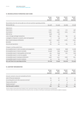# **14. RECONCILIATION OF OPERATING CASH FLOWS**

|                                                                                      | Group<br>2014<br>$(s$ ooos $)$ | Group<br>2013<br>$(s$ ooos $)$ | Parent<br>2014<br>$(s$ ooos $)$ | Parent<br>2013<br>$(s$ ooos $)$ |
|--------------------------------------------------------------------------------------|--------------------------------|--------------------------------|---------------------------------|---------------------------------|
| Reconciliation from the net loss after tax to the net cash from operating activities |                                |                                |                                 |                                 |
| Net loss after tax                                                                   | (35,546)                       | (14, 443)                      | (37, 369)                       | (16, 158)                       |
| Adjustments:                                                                         |                                |                                |                                 |                                 |
| Depreciation                                                                         | 2,294                          | 1,130                          | 1,172                           | 948                             |
| Amortisation                                                                         | 6,626                          | 3,198                          | 6,615                           | 2,761                           |
| Deferred tax                                                                         | (347)                          | (17)                           | $\overline{a}$                  |                                 |
| Loss on foreign exchange transactions                                                | 690                            | 442                            | 839                             | 417                             |
| Loss/(gain) on disposal on property, plant and equipment                             | 11                             | (13)                           | 5                               | (14)                            |
| Share-based employee entitlements                                                    | 6,971                          | 3,976                          | 3,060                           | 2,734                           |
| <b>Bad debts</b>                                                                     | 125                            | 114                            | $\qquad \qquad -$               | 40                              |
| Discontinued operations                                                              | 875                            | 219                            | 875                             | 219                             |
| Changes in working capital items:                                                    |                                |                                |                                 |                                 |
| (Increase)/decrease in trade receivables and prepayments                             | (4, 825)                       | (2,523)                        | (656)                           | (1, 206)                        |
| (Increase)/decrease in interest receivable                                           | (2,450)                        | (651)                          | (2,450)                         | (651)                           |
| Increase/(decrease) in trade payables and accruals                                   | 403                            | (743)                          | 802                             | (251)                           |
| Increase/(decrease) in current tax payable                                           | 523                            | 138                            |                                 | (1)                             |
| Increase/(decrease) in employee entitlements                                         | 3,578                          | 1,572                          | 1,808                           | 804                             |
| Increase/(decrease) in income in advance                                             | 53                             | 69                             | (1)                             | 11                              |
| Net cash flows from operating activities                                             | (21, 019)                      | (7,532)                        | (25,300)                        | (10, 347)                       |

# **15. AUDITORS' REMUNERATION**

|                                                    | Group<br>2014<br>$(s$ ooos $)$ | Group<br>2013<br>$(s$ ooos $)$ | Parent<br>2014<br>$(s$ ooos $)$ | Parent<br>2013<br>(\$000S) |
|----------------------------------------------------|--------------------------------|--------------------------------|---------------------------------|----------------------------|
| Amounts received or due and receivable by PwC for: |                                |                                |                                 |                            |
| Audit of financial statements                      | 124                            | 97                             | 76                              | 52                         |
| Accounting advice and other assurance services*    | 43                             | 43                             | 43                              | 39                         |
| Treasury policy advice                             | 4                              |                                | 4                               |                            |
| Taxation services**                                | 35                             | 43                             | 35                              | 43                         |
| Total fees paid to auditors                        | 206                            | 183                            | 158                             | 134                        |

*\*Services relate to review of the Group's half year result, audit of the Company's share register and technical accounting advice.*

*\*\*Services relate to the provision of services for the annual tax return, tax advice on the Group's incentive plans and the taxation of offshore employees.*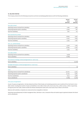# **16. RELATED PARTIES**

The Company entered into the following transactions and had receivable/(payable) balances with the following subsidiaries:

|                                                              | Parent<br>2014<br>$(s$ ooos $)$ | Parent<br>2013<br>$(s$ ooos $)$ |
|--------------------------------------------------------------|---------------------------------|---------------------------------|
| Xero (UK) Limited                                            |                                 |                                 |
| Operating revenue received from subsidiary                   | 7,282                           | 2,585                           |
| Operating expenses paid to subsidiary                        | 5,309                           | 872                             |
| Due from subsidiary                                          | 1,817                           | 713                             |
| Xero Australia Pty Limited                                   |                                 |                                 |
| Operating revenue received from subsidiary                   | 18,829                          | 5,657                           |
| Operating expenses paid to subsidiary                        | 13,235                          | 2,654                           |
| Due from subsidiary                                          | 3,443                           | 2,481                           |
| Xero, Inc. (United States)                                   |                                 |                                 |
| Operating revenue received from subsidiary                   | 4,508                           | 1,063                           |
| Operating expenses paid to subsidiary                        | 22,859                          | 4,434                           |
| Due from subsidiary                                          | 3,253                           | 494                             |
| Xero (NZ) Limited                                            |                                 |                                 |
| Operating revenue received from subsidiary                   | 19,383                          |                                 |
| Due to subsidiary                                            | (2,685)                         |                                 |
| Max Solutions Holdings Limited (amalgamated on 1 April 2013) |                                 |                                 |
| Due to subsidiary                                            | $\overline{a}$                  | (2,078)                         |
| Spotlight Workpapers Limited (amalgamated on 1 April 2013)   |                                 |                                 |
| Due to subsidiary                                            | $\overline{a}$                  | (3)                             |
| <b>Total</b>                                                 |                                 |                                 |
| Operating revenue received from subsidiaries                 | 50,002                          | 9,305                           |
| Operating expenses paid to subsidiaries                      | 41,403                          | 7,960                           |
| Due from subsidiaries                                        | 8,513                           | 3,688                           |
| Due to subsidiaries                                          | (2,685)                         | (2,081)                         |

#### Inter-group reorganisation

As part of a group reorganisation, the New Zealand and Rest of World sales and marketing operations were transferred from the Parent to Xero (NZ) Limited, including the transfer of assets and liabilities to Xero (NZ) Limited, with a book value of \$2.4 million and \$0.3 million respectively. During the period Xero (NZ) Limited transferred software development assets with a book value of \$2.6 million to the Parent.

Balances with subsidiary companies are unsecured and are repayable on demand.

Operating revenue/(expenses) includes management fees, distributor costs, transaction fees and market support payments between the Parent and its subsidiaries.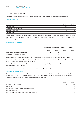#### **16. RELATED PARTIES (CONTINUED)**

The Group and Company entered into the following transactions and had the following balances receivable with related parties:

#### Loans to key management

|                                | 2014<br>$(s$ ooos $)$ | 2013<br>$(s$ ooos $)$ |
|--------------------------------|-----------------------|-----------------------|
| Opening balance                | 1,138                 | 1,094                 |
| Loans issued to key management | 1,550                 |                       |
| Interest charged on loans      | 88                    | 44                    |
| Closing balance                | 2,776                 | 1,138                 |

Secured loans have been issued to key management to purchase shares in the Company at market price. Simple interest is accrued at a rate of 4% per annum, with the loans and interest being repayable three years from the date of issue. The fair value of the loans does not materially differ from the carrying value.

#### Other related parties – Directors

|                                          | Transaction<br>2014<br>$(s$ ooos $)$ | Transaction<br>value for year value for year<br>2013<br>$(s$ ooos $)$ | Balance<br>outstanding<br>2014<br>$(s$ ooos $)$ | Balance<br>outstanding<br>2013<br>$(s$ ooos $)$ |
|------------------------------------------|--------------------------------------|-----------------------------------------------------------------------|-------------------------------------------------|-------------------------------------------------|
| Graham Shaw - Jeff Gray European Limited | 28                                   | 87                                                                    | $\overline{\phantom{m}}$                        |                                                 |
| Sam Morgan - Kiwi Landing Pad Limited    |                                      | 44                                                                    | $\overline{\phantom{0}}$                        |                                                 |

During the year, consideration of \$252,000 was provided to Directors in strategic advisory fees, outside their capacity as Directors.

All transactions and outstanding balances with these related parties are priced on an arm's length basis and are to be settled in cash and under normal commercial terms. None of the balances are secured.

Some members of key management and Directors subscribe to the Xero services provided by the Group. None of these related party transactions are significant to any party.

No amounts with any related parties have been written off or foregone during the year (2013: Nil).

#### Key management personnel remuneration

Key management personnel are defined as those persons having authority and responsibility for planning, directing and controlling the activities of the Group, directly or indirectly, and include the Directors, the Chief Executive, his direct reports and the country managers. The following table summarises remuneration paid to key management personnel.

|                                                             | 2014<br>$(s$ ooos $)$ | 2013<br>$(s$ ooos $)$ |
|-------------------------------------------------------------|-----------------------|-----------------------|
| Short-term employee benefits                                | 2,781                 | 2,329                 |
| Directors' fees                                             | 280                   | 243                   |
| Share options (under the Employee Share Options Scheme)     | 313                   | 52                    |
| Restricted share units                                      | 80                    |                       |
| Share-based payments (under Employee Restricted Share Plan) | 805                   | 467                   |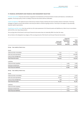## **17. FINANCIAL INSTRUMENTS AND FINANCIAL RISK MANAGEMENT OBJECTIVES**

Financial instruments Financial instruments recognised in the Statements of Financial Position include cash balances, receivables and payables. The Group's policy is that no trading in financial instruments shall be undertaken.

Capital management The capital structure of the Group consists of equity raised by the issue of ordinary shares in the Parent. The Group manages its capital to ensure that entities in the Group are able to continue as going concerns. The Group is not subject to any externally imposed capital requirements.

Classification and fair values Xero has carried out a fair value assessment of its financial assets and liabilities at 31 March 2014 in accordance with NZ IFRS 13 Fair Value Measurement.

The carrying value of the Parent's and Group's financial instruments does not materially differ from their fair value.

Set out below is the designation by category of the carrying amounts of the Parent's and Group's financial instruments.

|                                    | Loans and<br>receivables<br>$(s$ ooos $)$ | Financial<br>liabilities at<br>amortised<br>cost<br>$(s$ ooos $)$ | Total<br>carrying<br>value<br>$(s$ ooos $)$ |
|------------------------------------|-------------------------------------------|-------------------------------------------------------------------|---------------------------------------------|
| Group - Year ended 31 March 2014   |                                           |                                                                   |                                             |
| Assets                             |                                           |                                                                   |                                             |
| Trade and other receivables        | 11,311                                    | -                                                                 | 11,311                                      |
| Cash and cash equivalents          | 209,886                                   | -                                                                 | 209,886                                     |
| Loans to key management            | 2,776                                     | -                                                                 | 2,776                                       |
| <b>Total financial assets</b>      | 223,973                                   | -                                                                 | 223,973                                     |
| Liabilities                        |                                           |                                                                   |                                             |
| Trade and other payables           |                                           | 5,663                                                             | 5,663                                       |
| Employee entitlements              |                                           | 9,026                                                             | 9,026                                       |
| <b>Total financial liabilities</b> |                                           | 14,689                                                            | 14,689                                      |
| Group - Year ended 31 March 2013   |                                           |                                                                   |                                             |
| Assets                             |                                           |                                                                   |                                             |
| Trade and other receivables        | 4,979                                     | -                                                                 | 4,979                                       |
| Cash and cash equivalents          | 78,244                                    | -                                                                 | 78,244                                      |
| Loans to key management            | 1,138                                     |                                                                   | 1,138                                       |

| Total financial assets      | 84,361                   | -     | 84,361 |
|-----------------------------|--------------------------|-------|--------|
| Liabilities                 |                          |       |        |
| Trade and other payables    | $\qquad \qquad =$        | 2,304 | 2,304  |
| Employee entitlements       | $\overline{\phantom{a}}$ | 4,471 | 4,471  |
| Total financial liabilities | $\overline{\phantom{0}}$ | 6,775 | 6,775  |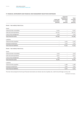# **17. FINANCIAL INSTRUMENTS AND FINANCIAL RISK MANAGEMENT OBJECTIVES (CONTINUED)**

|                                    | Loans and<br>receivables<br>$(s$ ooos $)$ | Financial<br>liabilities at<br>amortised<br>cost<br>$(s$ ooos $)$ | Total<br>carrying<br>value<br>$(s$ ooos $)$ |
|------------------------------------|-------------------------------------------|-------------------------------------------------------------------|---------------------------------------------|
| Parent - Year ended 31 March 2014  |                                           |                                                                   |                                             |
| Assets                             |                                           |                                                                   |                                             |
| Trade and other receivables        | 12,310                                    | $\overline{\phantom{a}}$                                          | 12,310                                      |
| Cash and cash equivalents          | 201,277                                   | $\overline{\phantom{a}}$                                          | 201,277                                     |
| Loans to key management            | 2,776                                     | $\overline{\phantom{a}}$                                          | 2,776                                       |
| <b>Total financial assets</b>      | 216,363                                   | $\overline{\phantom{a}}$                                          | 216,363                                     |
| Liabilities                        |                                           |                                                                   |                                             |
| Trade and other payables           |                                           | 5,303                                                             | 5,303                                       |
| Employee entitlements              |                                           | 5,272                                                             | 5,272                                       |
| <b>Total financial liabilities</b> |                                           | 10,575                                                            | 10,575                                      |
| Parent - Year ended 31 March 2013  |                                           |                                                                   |                                             |
| Assets                             |                                           |                                                                   |                                             |
| Trade and other receivables        | 6,516                                     | $\qquad \qquad -$                                                 | 6,516                                       |
| Cash and cash equivalents          | 75,511                                    | $\qquad \qquad -$                                                 | 75,511                                      |
| Loans to key management            | 1,138                                     | $\overline{\phantom{a}}$                                          | 1,138                                       |
| <b>Total financial assets</b>      | 83,165                                    | $\overline{\phantom{a}}$                                          | 83,165                                      |
| Liabilities                        |                                           |                                                                   |                                             |
| Trade and other payables           | $\overline{a}$                            | 3,488                                                             | 3,488                                       |
| Employee entitlements              |                                           | 2,822                                                             | 2,822                                       |
| <b>Total financial liabilities</b> | $\qquad \qquad -$                         | 6,310                                                             | 6,310                                       |

The main risks arising from the Group's financial instruments are interest rate risk, liquidity risk, credit risk and foreign currency risk.

*Continued on next page ...*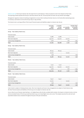Interest rate risk The Group's interest rate risk arises from its cash balances. These are placed on short-term deposit at fixed rates. The repricing of these exposes the Group to cash flow interest rate risk. The Group does not enter into any interest rate hedges.

Management regularly reviews its banking arrangements to ensure that it achieves the best returns on its funds while maintaining access to necessary cash levels to service the Group's day-to-day activities.

The interest rate re-pricing profiles of the Group's financial assets and liabilities subject to interest rate risk are:

|                                   | Carrying<br>value<br>$(s$ ooos $)$ | 3 months<br>or less<br>$(s$ ooos) | 3-12 months<br>$(s$ ooos $)$ | Greater than<br>12 months<br>$(s$ ooos $)$ |
|-----------------------------------|------------------------------------|-----------------------------------|------------------------------|--------------------------------------------|
| Group - Year ended 31 March 2014  |                                    |                                   |                              |                                            |
| Financial assets                  |                                    |                                   |                              |                                            |
| Cash at bank                      | 14,886                             | 14,886                            | $\overline{\phantom{a}}$     |                                            |
| Short term deposits               | 195,000                            | 175,000                           | 20,000                       |                                            |
| Loans to key management           | 2,776                              |                                   | 1,181                        | 1,595                                      |
| Total                             | 212,662                            | 189,886                           | 21,181                       | 1,595                                      |
| Group - Year ended 31 March 2013  |                                    |                                   |                              |                                            |
| <b>Financial assets</b>           |                                    |                                   |                              |                                            |
| Cash at bank                      | 68,244                             | 68,244                            | $\overline{\phantom{0}}$     |                                            |
| Short term deposits               | 10,000                             |                                   | 10,000                       |                                            |
| Loans to key management           | 1,138                              | $\overline{\phantom{m}}$          | $\overline{\phantom{a}}$     | 1,138                                      |
| Total                             | 79,382                             | 68,244                            | 10,000                       | 1,138                                      |
| Parent - Year ended 31 March 2014 |                                    |                                   |                              |                                            |
| Financial assets                  |                                    |                                   |                              |                                            |
| Cash at bank                      | 6,227                              | 6,227                             |                              |                                            |
| Short term deposits               | 195,000                            | 175,000                           | 20,000                       |                                            |
| Loans to key management           | 2,776                              |                                   | 1,181                        | 1,595                                      |
| Total                             | 204,003                            | 181,227                           | 21,181                       | 1,595                                      |
| Parent - Year ended 31 March 2013 |                                    |                                   |                              |                                            |
| <b>Financial assets</b>           |                                    |                                   |                              |                                            |
| Cash at bank                      | 65,511                             | 65,511                            | $\overline{\phantom{a}}$     |                                            |
| Short term deposits               | 10,000                             | $\overline{\phantom{a}}$          | 10,000                       |                                            |
| Loans to key management           | 1,138                              |                                   | $\overline{\phantom{0}}$     | 1,138                                      |
| Total                             | 76,649                             | 65,511                            | 10,000                       | 1,138                                      |

All other financial assets and liabilities of the Group are not subject to interest rate risk.

As at 31 March 2014 if interest rates had been 1.0% higher/lower with all other variables held constant, the impact on interest income, net loss and accumulated losses of the Group would have been \$1,951,000 lower/higher (2013: \$721,000). This analysis assumes the cash and cash equivalents balance was consistent throughout the year at the year end balance.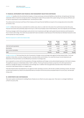#### **17. FINANCIAL INSTRUMENTS AND FINANCIAL RISK MANAGEMENT OBJECTIVES (CONTINUED)**

Liquidity risk Liquidity risk is the risk that the Company, or Group cannot pay contractual liabilities as they fall due. During the year the Group raised \$180 million of cash from issuing new shares. Following the receipt of the proceeds of the capital raising, the Group has sufficient cash to meet its requirements in the foreseeable future. The Group has no debt.

The undiscounted contractual cash flows of the Company and Groups financial liabilities are equal to the carrying value and are due within six months or less.

Credit risk Where the Group has a receivable from another party, there is a credit risk in the event of non-performance by that other party. Financial instruments that potentially subject the Group to credit risk principally consist of bank balances, short term deposits and receivables.

The Group manages credit risk by placing its cash and short-term investments with high credit quality financial institutions with Standard & Poor's A band credit ratings. The credit risk associated with trade receivables is small because of the inherently low individual transaction value and the spread over many customers.

#### Maximum exposure to credit risk at balance date

|                           | Group<br>2014<br>$(s$ ooos $)$ | Group<br>2013<br>$(s$ ooos $)$ | Parent<br>2014<br>$(s$ ooos $)$ | Parent<br>2013<br>$(s$ ooos $)$ |
|---------------------------|--------------------------------|--------------------------------|---------------------------------|---------------------------------|
| Cash and cash equivalents | 209,886                        | 78,244                         | 201,227                         | 75,511                          |
| Receivables               | 11,716                         | 4,776                          | 5,080                           | 2,785                           |
| Non-current receivables   | 2,371                          | 1,341                          | 1,670                           | 1,213                           |
| Total                     | 223,973                        | 84,361                         | 207,977                         | 79,509                          |

Foreign currency risk The Group faces the risk of movements in foreign currency exchange rates against the New Zealand dollar. The Group operates in three other currencies, being UK pounds, Australian dollars and US dollars. As a result the Group's Income Statements and Statements of Financial Position can be affected by movements in exchange rates.

Xero is exposed to currency risk from the operations of foreign subsidiaries and foreign currency denominated expenses in the Parent company. The significant exposure is United States dollar ("USD") outflows. The Group forward purchases a proportion of its USD requirements in advance to manage the impacts of movements in the exchange rate. In addition the Group generates Australian dollar inflows that are converted to New Zealand dollars on a regular basis.

If the New Zealand dollar had weakened by 10% against all other operating currencies, with all other variables remaining constant, the impact on the Group's position at 31 March 2014 would have been an increase in the net loss and accumulated losses of 122,000 (2013: net decrease of \$193,000).

#### **18. COMMITMENTS AND CONTINGENCIES**

There were capital commitments for building fitouts of \$158,000 at 31 March 2014 (2013: \$390,000). There were no contingent liabilities at 31 March 2014 (2013: Nil).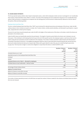#### **19. SHARE BASED PAYMENTS**

The Group operates equity-settled, share-based compensation plans, under which employees render services in exchange for non-transferable share options, Restricted Share Units ("RSUs") or shares. The value of the employee services rendered for the grant of non-transferable share options, RSUs and shares is recognised as an expense over the vesting period, and the amount is determined by reference to the fair value of the options, RSUs and shares granted.

#### Employee Restricted Share Plan

The Xero Limited Employee Restricted Share Plan ("RSP") was introduced for selected executives and employees of the Group. Under the RSP, ordinary shares in Xero Limited are issued to a trustee, Xero Trustee Limited, a wholly owned subsidiary, and allocated to participants, on grant date, using funds lent to them by the Company.

The price for each share issued during the year under the RSP is the higher of the market price of the share on the date on which the shares are allocated or the invitation price.

Under the RSP, shares are beneficially owned by the participants. The length of retention period before the shares vest is between one and three years. If the individual is still employed by the Group at the end of this specific period, the employee is given a cash bonus that must be used to repay the loan and shares are then transferred to the employee. The number of shares awarded is determined by the Remuneration Committee of the Board of Directors. The weighted average grant date fair value of restricted shares issued during the year was \$16.85 (2013: \$5.61) and is determined by the share price on grant date. Shares with a grant date fair value of \$2,429,000 vested during the year (2013: \$1,399,000). The Group has no legal or constructive obligation to repurchase the shares or settle the RSP for cash.

|                                                         | Number of shares | Number of shares |
|---------------------------------------------------------|------------------|------------------|
|                                                         | 2014             | 2013             |
|                                                         | (000s)           | (ooos)           |
| Unvested shares as at 1 April                           | 587              | 758              |
| Awarded pursuant to the Employee Restricted Share Plan  | 282              | 445              |
| Forfeited                                               | (58)             | (49)             |
| Vested                                                  | (434)            | (567)            |
| Unvested shares as at 31 March - allocated to employees | 377              | 587              |
| Forfeited shares not yet reallocated - held by Trustee  | 9                | 8                |
|                                                         | 386              | 595              |
| Percentage of total ordinary shares                     | $0.3\%$          | $0.5\%$          |
| Ageing of unvested shares                               |                  |                  |
| Balance of shares to vest within one year               | 240              | 377              |
| Balance of shares to vest after one year                | 137              | 210              |
|                                                         | 377              | 587              |

The number of shares awarded pursuant to the RSP does not equal the number of shares created for the scheme as forfeited shares are held in the trust and reissued.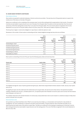# **19. SHARE BASED PAYMENTS (CONTINUED)**

#### Share Options Scheme

Share options are granted to selected employees, Directors and service providers. The exercise price of the granted options is equal to the market price of the shares on the date of the grant.

Options are conditional on the completing of the necessary years' service (the vesting period) as appropriate to that tranche. The options tranches are exercisable in equal amounts over one to five years from the grant date. No options can be exercised later than the second anniversary of the final vesting date (a total of four to six years from the grant date). The cost of stock options recognised in the Income Statements is \$1,250,000 for the year ended 31 March 2014 (2013: \$274,000). There were 97 holders of options at 31 March 2014.

The Group has no legal or constructive obligation to repurchase or settle the options in cash.

Movements in the number of share options outstanding and their related weighted average exercise prices are as follows:

|                             | 2014<br>Weighted<br>average<br>exercise price<br>$(\$)$ | 2014<br><b>Options</b><br>(ooos) | 2013<br>Weighted<br>average<br>exercise price<br>$(\$)$ | 2013<br><b>Options</b><br>(ooos) |
|-----------------------------|---------------------------------------------------------|----------------------------------|---------------------------------------------------------|----------------------------------|
| Outstanding at 1 April      | 4.08                                                    | 585                              | 2.75                                                    | 200                              |
| Granted during the period   | 30.73                                                   | 521                              | 4.75                                                    | 392                              |
| Forfeited during the period | 18.15                                                   | (28)                             | 7.70                                                    | (2)                              |
| Exercised during the period | 3.47                                                    | (142)                            | 2.75                                                    | (5)                              |
| Outstanding at 31 March     | 18.57                                                   | 936                              | 4.08                                                    | 585                              |
| Exercisable at 31 March     | 5.22                                                    | 63                               | 2.75                                                    | 35                               |

Share options outstanding at the end of the year have the following expiry dates and exercise prices:

| Grant-vest | <b>Expiry date</b> | Exercise<br>price<br>$(\$)$ | 2014<br>Options<br>(000s) | 2013<br>Options<br>(ooos) |
|------------|--------------------|-----------------------------|---------------------------|---------------------------|
| 2012-13    | 2017-18            | 2.75                        | 120                       | 195                       |
| 2012-13    | 2016-17            | 3.82                        | 93                        | 140                       |
| 2012-13    | 2016-17            | 5.31                        | 122                       | 142                       |
| 2012-13    | 2016-17            | 4.97                        | 100                       | 100                       |
| 2012-13    | 2016-17            | 7.70                        | 7                         | 8                         |
| 2013-14    | 2017-18            | 17.40                       | 146                       | $\overline{\phantom{m}}$  |
| 2013-14    | 2017-18            | 32.50                       | 59                        | $\overline{\phantom{a}}$  |
| 2013-14    | 2017-18            | 38.24                       | 164                       | $\overline{\phantom{m}}$  |
| 2013-14    | 2018-19            | 38.24                       | 125                       | $\overline{\phantom{a}}$  |
|            |                    |                             | 936                       | 585                       |

The weighted average fair value of options granted during the year, determined using the Black-Scholes valuation model, was \$13.16 per option (2013: \$1.21).

The significant inputs into the model were the market share price at grant date, the exercise price shown above, the expected annualised volatility of between 33% and 53%, a dividend yield of 0%, an expected option life of between one and six years and an annual risk-free interest rate of between 2.5% and 4.1%.

The volatility measured is the standard deviation of continuously compounded share returns and is based on a statistical analysis of daily share prices in the past one to six years.

## Restricted Share Units

Xero granted 20,537 Restricted Share Units ("RSUs") at an exercise price of \$38.24, as remuneration and incentive for a key member of management. No cash consideration is required to be paid to exercise the RSUs. The grant date fair value of the RSUs was \$785,000 as determined by the market value of the shares on grant date. The RSUs are conditional on the employee completing up to three year's service (the vesting period) and are exercisable in equal amounts over the vesting period. The cost of the RSUs recognised in the Income Statement is \$80,000 (2013: Nil).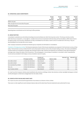#### **20. OPERATING LEASE COMMITMENTS**

|                                             | Group<br>2014<br>$(s$ ooos $)$ | Group<br>2013<br>$(s$ ooos $)$ | Parent<br>2014<br>$(s$ ooos $)$ | Parent<br>2013<br>$(s$ ooos $)$ |
|---------------------------------------------|--------------------------------|--------------------------------|---------------------------------|---------------------------------|
| Within one year                             | 4,525                          | 2,341                          | 1,434                           | 1,355                           |
| After one year but not more than five years | 11,481                         | 5,561                          | 3,118                           | 3,681                           |
| More than five years                        | 2,503                          | 2,161                          | 1,348                           | 2,161                           |
|                                             | 18,509                         | 10,063                         | 5,900                           | 7,197                           |

Operating lease commitments are for the Group's office premises.

## **21. GROUP ENTITIES**

Consolidation subsidiaries are all entities (including structured entities) over which the Group has control. The Group controls an entity when the Group is exposed to, or has rights to, variable returns from its involvement with the entity and has the ability to affect those returns through its power over the entity. Subsidiaries are fully consolidated from the date on which control is transferred to the Group. They are deconsolidated from the date that control ceases.

Inter-company transactions and balances between group companies are eliminated on consolidation

Translation of foreign group entities The financial statements of each of the Group's subsidiaries are prepared in the functional currency of that entity. The functional currency is determined for each entity based on factors such as the principal trading currency. The assets and liabilities of these entities are translated at exchange rates existing at balance date. Revenue and expenses are translated at rates approximating the exchange rates ruling at the dates of the transactions. The exchange gain or loss arising on translation is recorded in other comprehensive income and accumulated in the foreign currency translation reserve in equity.

|                            | Principal activity       | Country of<br>incorporation | Balance date | Interest 2014<br>$($ %) | Interest 2013<br>$(\%)$ |
|----------------------------|--------------------------|-----------------------------|--------------|-------------------------|-------------------------|
| Xero (NZ) Limited          | Limited risk distributor | New Zealand                 | 31 March     | 100                     | 100                     |
| Xero (UK) Limited          | Limited risk distributor | United Kingdom              | 31 March     | 100                     | 100                     |
| Xero Australia Pty Limited | Limited risk distributor | Australia                   | 31 March     | 100                     | 100                     |
| Xero, Inc.                 | Limited risk distributor | United States               | 31 March     | 100                     | 100                     |
| Xero Trustee Limited       | Trustee                  | New Zealand                 | 31 March     | 100                     | 100                     |

On 1 April 2013 the Company's wholly owned subsidiaries Max Solutions Holdings Limited, Max Solutions Limited, Spotlight Workpapers Limited and My Workpapers Limited were amalgamated into Xero (NZ) Limited.

## **22. EVENTS AFTER THE BALANCE SHEET DATE**

On 10 April 2014 Xero announced the appointment of Lee Hatton as a Director of Xero Limited.

There were no other significant events between balance date and the date these financial statements were authorised for issue.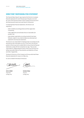# **DIRECTORS' RESPONSIBILITIES STATEMENT**

The Financial Reporting Act 1993 requires the Directors to prepare financial statements for each financial year that give a true and fair view of the financial position of the Company and Group and of the financial performance and cash flows for that period.

In preparing these financial statements, the Directors are required to:

- select suitable accounting policies and then apply them consistently;
- make judgements and estimates that are reasonable and prudent; and
- state whether applicable accounting standards have been followed, subject to any material departures disclosed and explained in the financial statements.

The Directors are responsible for keeping proper accounting records that disclose with reasonable accuracy, at any time, the financial position of the Group and to enable them to ensure that the financial statements comply with the Companies Act 1993. They are also responsible for safeguarding the assets of the Group and hence for taking reasonable steps for the prevention and detection of fraud and other irregularities.

The Board of Directors of the Company and Group authorised these financial statements for issue on 22 May 2014.

For and on behalf of the Board of Directors

Billell

Chairman Director 22 May 2014 22 May 2014



**Chris Liddell Graham Shaw**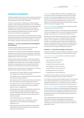# **CORPORATE GOVERNANCE**

The Board recognises the importance of good corporate governance, particularly its role in delivering improved corporate performance and protecting the interests of all stakeholders.

The Board is responsible for establishing and implementing the Company's corporate governance frameworks, and is committed to fulfilling this role in accordance with best practice while observing applicable laws, the NZX Corporate Governance Best Practice Code (NZX Code), and the Corporate Governance Principles and Recommendations (2nd Edition) issued by the ASX Corporate Governance Council (ASX recommendations).

This section sets out the Company's commitment to good corporate governance and addresses the Company's compliance with the eight fundamental principles of the ASX recommendations. In doing so, the Company's compliance with the NZX Code is also addressed.

# **PRINCIPLE 1 – LAY SOLID FOUNDATIONS FOR MANAGEMENT AND OVERSIGHT**

*Companies should establish and disclose the respective roles and responsibilities of the Board and management*

The Board is the overall and final body responsible for all decisionmaking within the Company, having a core objective to effectively represent and promote the interests of shareholders with a view to adding long-term value to the Company.

The Board Charter describes the Board's role and responsibilities and regulates internal Board procedures; a copy of this document is available in the Investors section on the Company's website. The Board has the responsibility to work to enhance the value of the Company in the interests of the Company and the shareholders.

The Board directs, and supervises the management of, the business and affairs of the Company including, in particular:

- ensuring that the Company's goals are clearly established, and that strategies are in place for achieving them;
- ensuring that there is an ongoing review of performance against the Company's strategic objectives;
- approving transactions relating to acquisitions and divestments and capital expenditure above delegated authority limits;
- ensuring that there is an ongoing assessment of business risks and that there are appropriate control and accountability systems in place to manage them;
- establishing policies aimed at strengthening the performance of the Company, including ensuring that management is proactively seeking to build the business through innovation, initiative, technology, new products and the development of its business capital;
- monitoring the performance of management;
- appointing the Chief Executive, setting the terms of their employment and, where necessary, terminating their employment; and
- approving and monitoring the Company's financial and other reporting and ensuring the Company's financial statements represent a true and fair view.

Delegation To enhance efficiency, the Board has delegated some of its powers to Board Committees and other powers to the Chief Executive. The terms of the delegation by the Board to the Chief Executive are documented in the Board Charter and more clearly set out in the Company's Delegated Authority Framework. This framework also establishes the authority levels for decision-making within the Company's management team.

Performance management The Remuneration Committee evaluates the performance of the Chief Executive.

Formal procedures are in place to facilitate performance evaluations of the senior management team. These are facilitated by the General Manager, Human Resources, in liaison with the Chief Executive.

Evaluations of both the Chief Executive and the senior management team are based on set criteria, including the performance of the business, the accomplishment of long-term strategic objectives, and other non-quantitative objectives agreed at the beginning of each year. During the financial year, performance evaluations of the Chief Executive and senior management team were completed in accordance with the Company's established procedures.

# **PRINCIPLE 2 – STRUCTURE THE BOARD TO ADD VALUE**

*Companies should have a Board of an effective composition, size and commitment to adequately discharge its responsibilities and duties*

Composition of the Board At 31 March 2014 the Board comprised seven Directors, as follows:

- Chris Liddell (Non-executive Chair)
- Rod Drury (Executive Director)
- Craig Elliott (Non-executive Director)
- Sam Morgan (Non-executive Director)
- Graham Shaw (Non-executive Director)
- Bill Veghte (Non-executive Director)
- Craig Winkler (Non-executive Director)

The Board has a broad range of IT, financial, sales, business and other skills and expertise necessary to meet its objectives.

On 12 February 2014 Sam Knowles resigned as Director and Chairman, Chris Liddell was appointed as non-executive Chairman, and Bill Veghte was appointed as a non-executive Director. On 10 April 2014, Lee Hatton was appointed as an additional non-executive Director.

Selection and role of Chairman The Chairman of the Board is elected by the non-executive Directors. The Board supports the separation of the role of Chairman (Chris Liddell) and Chief Executive (Rod Drury). The Chairman's role is to manage the Board effectively, to provide leadership to the Board, and to facilitate the Board's interface with the Chief Executive.

Chris Liddell was appointed as Chairman of the Board during the current financial year (replacing Sam Knowles upon his resignation as a Director) and has held the role of Chairman from 12 February 2014. The Board has determined that Chris Liddell is an Independent Director.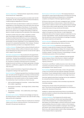Director independence The Board Charter requires that a minimum of two Directors be "independent".

The Board takes into account the guidance provided under the NZX Listing Rules, the ASX Listing Rules and the ASX Recommendations, in determining the independence of Directors.

The Board will review any determination it makes as to a Director's independence on becoming aware of any information that may have an impact on the independence of the Director. For this purpose, Directors are required to ensure that they immediately advise the Board of any relevant new or changed relationships to enable the Board to consider and determine the materiality of the relationships.

The Board considers that Chris Liddell, Craig Elliott, Graham Shaw, Sam Morgan and Bill Veghte are Independent Directors. The Board has determined that Rod Drury is not an Independent Director because of his executive responsibilities and substantial shareholding, and that Craig Winkler is not an Independent Director because he is a substantial shareholder of the Company. The Board has determined that Lee Hatton is an Independent Director.

Conflicts of interest The Board Charter outlines the Board's policy on conflicts of interest. Where conflicts of interest do exist, Directors excuse themselves from discussions and do not exercise their right to vote in respect of such matters.

Nomination and appointment The procedures for the appointment and removal of Directors are ultimately governed by the Company's Constitution. The Board has established a Nominations Committee whose role is to identify and recommend to the Board individuals for nomination as members of the Board and its Committees, taking into account such factors as it deems appropriate, including experience, qualifications, judgement and the ability to work with other Directors.

Directors receive formal letters of appointment setting out the arrangements relating to their appointments.

Board Committees The Board operated three Committees during the year: the Audit and Risk Management Committee, the Remuneration Committee and the Nominations Committee. The Charters of each Committee are in the Investors section on the Company's website. The membership of each Committee at 31 March 2014 was:

- 1. Audit and Risk Management Committee Graham Shaw (Chair), Chris Liddell, Craig Winkler
- 2. Remuneration Committee Sam Morgan (Chair), Graham Shaw, Craig Winkler
- 3. Nominations Committee Chris Liddell (Chair), Sam Morgan, Craig Winkler

Retirement and re-election The Board acknowledges and observes the relevant Director rotation/retirement rules under the NZX Listing Rules and the ASX Listing Rules.

Director remuneration Directors' fees are currently set at a maximum of \$500,000 for the non-executive Directors. The actual amount of fees paid in the past year was \$280,000.

Board access to information and advice The Company Secretary is responsible for supporting the effectiveness of the Board by ensuring that policies and procedures are followed and co-ordinating the completion and dispatch of the Board agendas and papers.

All Directors have access to the senior management team, including the Company Secretary, to discuss issues or obtain information on specific areas in relation to items to be considered at Board meetings or other areas as they consider appropriate. Further, Directors have unrestricted access to Group records and information.

The Board, the Board Committees and each Director have the right, subject to the approval of the Chairman, to seek independent professional advice at the Company's expense to assist them to carry out their responsibilities. Further, the Board and Board Committees have the authority to secure the attendance at meetings of outsiders with relevant experience and expertise.

Director education All Directors are responsible for ensuring they remain current in understanding their duties as Directors.

Directors' share ownership All Directors and employees are required to comply with the Company's Securities Trading Policy and Guidelines in undertaking any trading in the Company's shares. A copy of this Policy can be found in the Investors section on the Company's website. The table of Directors' shareholdings is included in the Disclosures section of this Annual Report.

Indemnities and insurance Deeds of Indemnity have been granted by the Company in favour of the Directors in relation to potential liabilities and costs they may incur for acts or omissions in their capacity as Directors.

The Directors' and Officers' Liability insurance covers risks normally covered by such policies arising out of acts or omissions of Directors and employees in their capacity as such.

Board meetings The Board met formally 12 times in the year ended 31 March 2014 and there were also separate meetings of the Board Committees. At each meeting the Board considers key financial and operational information as well as matters of strategic importance.

Executives regularly attend Board meetings and are also available to be contacted by Directors between meetings.

Directors who are not members of the Committees may attend the Committee meetings.

The Board has a formal review of its performance on an annual basis. This process incorporates gaining feedback via a third party to enhance the robustness of the process.

Feedback on relevant Board performance factors is provided by executive members to enhance the working relationship between the Board and management.

Company subsidiaries The Company has five wholly owned subsidiaries, consisting of a wholly owned operating subsidiary in each of the Company's four core markets (being Australia, New Zealand, the United Kingdom, and North America) and a wholly owned subsidiary that acts as trustee in relation to the Company's long-term incentive scheme available to employees. Board meetings were held for each of these subsidiaries during the year ended 31 March 2014, with material matters raised in these meetings reported to the Company's Board, as appropriate.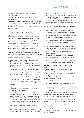# **PRINCIPLE 3 – PROMOTE ETHICAL AND RESPONSIBLE DECISION MAKING**

*Companies should actively promote ethical and responsible decision-making*

The Board maintains high standards of ethical conduct and the Chief Executive is responsible for ensuring that high standards of conduct are maintained by all staff. The Board adopted a "Code of Conduct" during the year, a copy of which is available in the Investors section of the Company's website.

The Board has approved a Diversity Policy, a copy of which is available in the Investors section on the Company's website.

At 31 March 2014, the proportion of females employed by the Company (and its wholly owned subsidiaries) was as follows: 40% in all positions; 11% in senior executive positions; and 0% on the Board; the respective figures disclosed in the Company's Annual Report for the year ended 31 March 2013 were 42%; 21%; and 0%. The Board appointed a female director on 10 April 2014, so the current proportion of females on the Board of Directors is 12.5%. These figures include permanent full-time, permanent part-time and fixed-term employees, but not independent contractors.

The Company recognises the importance of diversity in the workplace and its positive impact on the work environment and culture. In August 2013, the Board approved measurable objectives for achieving diversity in the workplace. These are set out below, along with the Company's progress towards achieving them.

a. Objective: Ensure that all recruitment campaigns generate a diverse pool of talent and that all hiring decisions are based on merit, taking into account the relevant skills, qualifications, and experience of all applicants and recognising the importance of diversity in the workforce.

Progress: The Company carries out the bulk of its recruiting efforts internally. The importance of diversity is reinforced to, and well understood by, the hiring managers and recruitment team, both through training and communication of the Company's core values. A number of the Company's recruitment campaigns are aimed at increasing diversity in the workplace, such as sponsorship of and attendance at "Geek Girl" dinners and TEDx – Women in Tech events, graduate recruitment campaigns, and publishing case studies that represent the Company's diverse workforce.

b. Objective: Ensure that appropriate internal policies supporting and promoting diversity have been adopted and are well communicated to all employees.

Progress: The Company has implemented appropriate parental leave and flexi-leave arrangements. The Company has adopted and communicated a Diversity Policy and a Code of Conduct, both of which support diversity in the workplace. Copies of the Diversity Policy and Code of Conduct are made available to all staff on the Company's intranet, and are also available in the Investors section of the Company's website.

c. Objective: Ensure that no impediments exist that restrict the ability to maintain a diverse workforce.

Progress: The Company's HR function actively ensures that there are no impediments that restrict the Company from maintaining a diverse workforce. The Company provides management training to its current and potential leaders, which includes training on being a successful leader and fostering a healthy and inclusive work environment. The Company provides numerous forums to its employees (including in an annual anonymous employee survey) to enable and encourage its employees to raise any concerns that they may have in relation to their work environment.

d. Objective: Continually review and monitor parity of working conditions and pay across the workforce.

Progress: The Company continually reviews the working conditions of all of its employees and reviews remuneration to ensure that it is merit-based and adequately reflects the responsibilities of the position. The Company conducts annual performance and salary reviews which provide visibility to management in relation to parity of working conditions and pay across its workforce. There are numerous ways in which employees can raise concerns about working conditions within the Company, and these are regularly communicated to staff.

e. Objective: Reinforce internally and externally that Xero is an equal opportunity employer that does not discriminate on any of the prohibited grounds of discrimination, including gender; marital status; religious, ethical or political beliefs; race; disability; and age.

Progress: The composition of the Company's workforce demonstrates that it is an equal opportunity employer that does not discriminate on any of the prohibited grounds of discrimination. As discussed above, the Company takes active steps to monitor and encourage diversity in the workforce.

# **PRINCIPLE 4 – SAFEGUARD INTEGRITY IN FINANCIAL REPORTING**

*Companies should have a structure to independently verify and safeguard the integrity of their financial reporting*

The Board is committed to a transparent system for auditing and reporting of the Company's financial performance. The Board has established an Audit and Risk Management Committee, which performs a central role in achieving this goal.

The Audit and Risk Management Committee's principal functions are:

- to assist the Board in ensuring that appropriate accounting policies and internal controls are established and followed;
- to assist the Board in producing accurate financial statements in compliance with all applicable legal requirements and accounting standards; and
- to ensure the efficient and effective management of business risks.

One of the main purposes of the Audit and Risk Management Committee is to ensure the quality and independence of the audit process. The Chairman of the Audit and Risk Management Committee and Chief Financial Officer work with the external auditors to plan the audit approach. All aspects of the audit are reported back to the Audit and Risk Management Committee and the auditors are given the opportunity at Audit and Risk Management Committee meetings to meet with the Board.

The Audit and Risk Management Committee has adopted a formal Charter, a copy of which is available in the Investors section on the Company's website.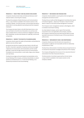#### **PRINCIPLE 5 – MAKE TIMELY AND BALANCED DISCLOSURE**

*Companies should promote timely and balanced disclosure of all material matters concerning the company*

The Board has adopted a Market Disclosure and Communications Policy, a copy of which is available in the Investors section on the Company's website. The Policy has been communicated internally to ensure that it is strictly adhered to by the Board and the Company's employees.

The Company has been listed on the NZX Main Board since 5 June 2007 and listed on the ASX since 8 November 2012 and has at all times complied with its continuous disclosure obligations under the NZX Listing Rules, the Securities Markets Act 1988 (NZ), and the ASX Listing Rules.

# **PRINCIPLE 6 – RESPECT THE RIGHTS OF SHAREHOLDERS**

*Companies should respect the rights of shareholders and facilitate the effective exercise of those rights*

During the time that the Company has been listed on the NZX and the ASX, it has built a reputation of openness and has encouraged a high level of communication with shareholders and the market generally. It does this through numerous forms of communication including formal communication, social media, blogs, press releases and road-shows.

The Board encourages active participation by shareholders at the Annual Meeting of the Company, and allows shareholders to submit questions to the Board prior to, or at the Annual Meeting, to be answered by the Board at the Annual Meeting.

#### **PRINCIPLE 7 – RECOGNISE AND MANAGE RISK**

*Companies should establish a sound system of risk oversight and management and internal control*

The Board has an Audit and Risk Management Committee that reports to the Board regularly – please see "Principle 4" above for further detail in relation to the Audit and Risk Management Committee.

The Company's senior management maintain a Risk Register, which is reviewed at each Board meeting.

As a New Zealand company, section 295A of the Australian Corporations Act is not applicable to the Company. However, the Company's Chief Executive and Chief Financial Officer provide equivalent assurances to the Board as part of the annual external audit process.

#### **PRINCIPLE 8 – REMUNERATE FAIRLY AND RESPONSIBLY**

*Companies should ensure that the level and composition of remuneration is sufficient and reasonable and that its relationship to performance is clear*

The Board has a Remuneration Committee whose principal function is to oversee the remuneration strategies and policies of the Company.

The Company distinguishes the structure of non-executive Directors' remuneration from that of executive Directors.

The Remuneration Committee is governed by a formal charter, a copy of which is available in the Investors section on the Company's website.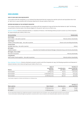# **DISCLOSURES**

# **USE OF CASH AND CASH EQUIVALENTS**

In accordance with ASX Listing Rule 4.10.19, the Board has determined that the Company has used the cash and cash equivalents that it had at 1 April 2013 in a way consistent with its business objectives for the year ended 31 March 2014.

# **ENTRIES RECORDED IN THE INTERESTS REGISTER**

The Company maintains an Interests Register in accordance with the Companies Act 1993 and the Securities Markets Act 1988. The following are particulars of entries made in the Interests Register for the period 1 April 2013 to 31 March 2014.

Directors' interests Directors disclosed interests, or cessations of interest, in the following entities pursuant to section 140 of the Companies Act 1993 during the year ended 31 March 2014.

| Director/Entity                                        | Relationship                                                                             |
|--------------------------------------------------------|------------------------------------------------------------------------------------------|
| Sam Morgan                                             |                                                                                          |
| Vend Limited - Xero add-on partner                     | Minority indirect shareholder                                                            |
| Sam Morgan                                             |                                                                                          |
| Visfleet Limited (vWork App) – Xero add-on partner     | Director and controlling shareholder                                                     |
| <b>Graham Shaw</b>                                     |                                                                                          |
| Spotlight Reporting - Xero add-on partner              | Advisor                                                                                  |
| <b>Bill Veghte</b>                                     |                                                                                          |
| Hewlett-Packard                                        | Executive Vice President and General Manager, Enterprise Group; and minority shareholder |
| Bill Veghte, Chris Liddell                             |                                                                                          |
| Microsoft Corporation                                  | Minority shareholder                                                                     |
| Craig Winkler                                          |                                                                                          |
| Vend Limited, Practice Ignition - Xero add-on partners | Minority indirect shareholder                                                            |

Share dealings of Directors Directors disclosed, pursuant to section 148 of the Companies Act 1993, the following acquisitions and disposals of relevant interests in Xero shares during the year ended 31 March 2014.

| Shares       | Date of<br>acquisition/<br>disposal | Consideration<br>per share | Number of<br>shares acquired/<br>(disposed) |
|--------------|-------------------------------------|----------------------------|---------------------------------------------|
| Sam Knowles* | 29 May 2013                         | \$13.04                    | (100,000)                                   |
| Sam Knowles* | 22 November 2013                    | \$35.45                    | (205, 555)                                  |
| Sam Knowles* | 24 February 2014                    | \$40.00                    | (50,000)                                    |

*\*Sam Knowles resigned as a Director and Chairman on 12 February 2014.*

| Share options  | Date of grant    | Exercise price | Number of<br>options granted |
|----------------|------------------|----------------|------------------------------|
| Chris Liddell* | 12 February 2014 | \$38.24        | 78,481                       |
| Bill Veghte**  | 12 February 2014 | \$38.24        | 62,785                       |

*\*65,000 of the options held by Chris Liddell were granted in connection with his role as US Advisor, and 13,481 of the options were for his role as Director.*

*\*\*52,000 of the options held by Bill Veghte were granted in connection with his role as US Advisor, and 10,785 of the options were for his role as Director.*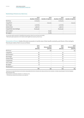# Shareholdings of Directors at 31 March 2014

|                              | 2014<br>Number of shares | 2014<br>Number of options | 2013<br>Number of shares | 2013<br>Number of options |
|------------------------------|--------------------------|---------------------------|--------------------------|---------------------------|
| Rod Drury                    |                          |                           |                          |                           |
|                              | 21,719,779               |                           | 21,719,779               |                           |
| Craig Elliott*               | $\overline{\phantom{0}}$ | 100,000                   |                          | 100,000                   |
| Sam Morgan                   | 5,122,609                |                           | 5,122,609                |                           |
| Graham Shaw                  | 1,336,010                |                           | 1,336,010                |                           |
| Craig Winkler (two holdings) | 18,475,990               |                           | 18,475,990               |                           |
| Chris Liddell**              | $\overline{\phantom{a}}$ | 78,481                    | $\overline{\phantom{0}}$ |                           |
| Bill Veghte**                | $\overline{\phantom{0}}$ | 62,785                    | $\overline{\phantom{0}}$ |                           |

*\*33,333 of the options granted to Craig Elliott had vested by 31 March 2014 and were exercisable.*

*\*\*None of the options granted to Chris Liddell and Bill Veghte had vested at 31 March 2014.*

Remuneration of Directors Details of the total remuneration of, and the value of other benefits received by, each Director of Xero during the financial year ended 31 March 2014 are as follows:

|                    | 2014<br>Fees<br>$(s$ ooos $)$ | 2014<br>Remuneration<br>$(s$ ooos $)$ | 2013<br>Fees<br>$(s$ ooos $)$ | 2013<br>Remuneration<br>$(s$ ooos $)$ |
|--------------------|-------------------------------|---------------------------------------|-------------------------------|---------------------------------------|
| Rod Drury*         | $\overline{\phantom{0}}$      | 395                                   | $\overline{\phantom{0}}$      | 355                                   |
| Craig Elliott      | 40                            | $\qquad \qquad -$                     | 20                            |                                       |
| Sam Knowles**      | 69                            | -                                     | 80                            |                                       |
| Sam Morgan         | 40                            |                                       | 40                            |                                       |
| Graham Shaw        | 50                            | -                                     | 50                            |                                       |
| Craig Winkler      | 40                            | -                                     | 40                            |                                       |
| Chris Liddell      | 23                            | -                                     | $\overline{\phantom{0}}$      |                                       |
| <b>Bill Veghte</b> | 18                            | $\qquad \qquad =$                     | -                             |                                       |
| Phil Norman***     | $\qquad \qquad -$             | $\qquad \qquad -$                     | 13                            |                                       |
|                    | 280                           | 395                                   | 243                           | 355                                   |

*\*Rod Drury is an executive Director and receives remuneration from Xero in the form of a salary and short-term incentives. He does not participate in the Xero Employee Restricted Share Plan.*

*\*\*Sam Knowles ceased to be a Director on 12 February 2014.*

*\*\*\* Phil Norman ceased to be a Director on 26 July 2012.*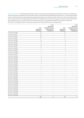Employee remuneration The following table shows the number of employees (including employees holding office as Directors of subsidiaries) whose remuneration and benefits for the year ended 31 March 2014 were within the specified bands above \$100,000. The remuneration figures shown in the table include all monetary payments actually paid during the course of the year ended 31 March 2014. They also include bonuses paid in respect of the Group's Employee Restricted Share Plan. The table does not include amounts paid post 31 March 2014 that related to the year ended 31 March 2014, such as the short-term incentive scheme bonus. The table below includes the remuneration of Rod Drury. No Director of a subsidiary receives or retains any remuneration or other benefits from Xero for acting as such.

|                    | 2014                     | 2014<br>Number of<br>employees acting | 2013                     | 2013<br>Number of<br>employees acting |
|--------------------|--------------------------|---------------------------------------|--------------------------|---------------------------------------|
|                    | Number of<br>employees   | as Directors of<br>subsidiaries       | Number of<br>employees   | as Directors of<br>subsidiaries       |
| 100,000 to 109,999 | 37                       | $\overline{a}$                        | 17                       |                                       |
| 110,000 to 119,999 | 33                       |                                       | 10                       |                                       |
| 120,000 to 129,999 | 30                       | $\overline{a}$                        | 13                       |                                       |
| 130,000 to 139,999 | 21                       | -                                     | 6                        |                                       |
| 140,000 to 149,999 | 14                       | -                                     | 8                        |                                       |
| 150,000 to 159,999 | 8                        | $\qquad \qquad -$                     | 5                        |                                       |
| 160,000 to 169,999 | 9                        | $\overline{a}$                        | 3                        |                                       |
| 170,000 to 179,999 | 13                       | $\overline{\phantom{0}}$              | $\overline{\mathbf{c}}$  |                                       |
| 180,000 to 189,999 | $\overline{\mathbf{c}}$  | -                                     | 4                        |                                       |
| 190,000 to 199,999 | $\mathbf{1}$             | -                                     | $\overline{\mathbf{c}}$  |                                       |
| 200,000 to 209,999 | $\mathbf{1}$             | -                                     | $\overline{a}$           |                                       |
| 210,000 to 219,999 | $\mathbf{1}$             | $\overline{a}$                        | 3                        |                                       |
| 220,000 to 229,999 | 4                        | $\overline{a}$                        | $\overline{a}$           |                                       |
| 230,000 to 239,999 | $\mathbf 2$              | -                                     | $\mathbf{1}$             |                                       |
| 240,000 to 249,999 | 3                        |                                       | $\overline{\mathbf{c}}$  |                                       |
| 250,000 to 259,999 | 3                        | $\overline{a}$                        | $\mathbf{1}$             |                                       |
| 270,000 to 279,999 | $\overline{a}$           | $\qquad \qquad -$                     | $\mathbf{1}$             |                                       |
| 280,000 to 289,999 | 3                        | -                                     |                          |                                       |
| 300,000 to 309,999 | $\mathbf{1}$             | $\overline{a}$                        | $\mathbf{1}$             |                                       |
| 310,000 to 319,999 |                          |                                       | $\mathbf{1}$             |                                       |
| 320,000 to 329,999 | $\mathbf{1}$             | $\overline{\phantom{0}}$              | $\overline{\phantom{0}}$ |                                       |
| 340,000 to 349,999 | $\mathbf{1}$             | -                                     | $\mathbf{1}$             |                                       |
| 350,000 to 359,999 | $\overline{\phantom{0}}$ | $\overline{\phantom{0}}$              | $\overline{2}$           | $\overline{\mathbf{2}}$               |
| 360,000 to 369,999 | -                        | -                                     | $\mathbf{1}$             |                                       |
| 390,000 to 399,999 | $\mathbf{1}$             | $\mathbf{1}$                          | $\overline{\phantom{0}}$ |                                       |
| 400,000 to 409,999 | $\mathbf{1}$             | $\mathbf{1}$                          | $\overline{a}$           |                                       |
| 420,000 to 429,999 | $\overline{\phantom{0}}$ | -                                     | $\mathbf{1}$             | $\mathbf{1}$                          |
| 430,000 to 439,999 | 1                        |                                       |                          |                                       |
| 450,000 to 459,999 | $\overline{\phantom{0}}$ | -                                     | $\mathbf{1}$             |                                       |
| 460,000 to 469,999 | $\mathbf{1}$             | $\overline{\phantom{a}}$              | $\qquad \qquad -$        |                                       |
| 500,000 to 509,999 | $\mathbf{1}$             | $\mathbf{1}$                          | -                        |                                       |
| 560,000 to 569,999 | $\mathbbm{1}$            | $\qquad \qquad \blacksquare$          |                          |                                       |
|                    | 194                      | 3                                     | 87                       | 3                                     |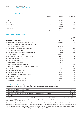### Analysis of shareholding at 8 May 2014

|                   | Number<br>of holders | <b>Number</b><br>of shares | % of issued<br>capital |
|-------------------|----------------------|----------------------------|------------------------|
| 1 to 1,000        | 8,382                | 2,357,899                  | 1.85                   |
| 1,001 to 5,000    | 1,516                | 3,529,688                  | 2.77                   |
| 5,001 to 10,000   | 365                  | 2,658,689                  | 2.08                   |
| 10,001 to 100,000 | 343                  | 7,991,478                  | 6.26                   |
| 100,001 and over  | 56                   | 111,072,558                | 87.04                  |
| Total             | 10,662               | 127,610,312                | 100.00                 |

# Twenty largest shareholders at 8 May 2014

|                                                                 |            | % of<br>total shares |
|-----------------------------------------------------------------|------------|----------------------|
| Shareholder rank and name                                       | Holding    | on issue             |
| New Zealand Central Securities Depository Limited<br>1.         | 33,940,183 | 26.60                |
| Anna Margaret Clare Drury and Kenneth Drury (Rod Drury)<br>2.   | 21,719,779 | 17.02                |
| Givia Pty Limited (Craig Winkler)<br>3.                         | 18,454,545 | 14.46                |
| Jasmine Investment Holdings Limited (Sam Morgan)<br>4.          | 5,122,609  | 4.01                 |
| Valar Ventures LP (Peter Thiel)<br>5.                           | 4,135,870  | 3.24                 |
| Hamish Edwards and Tineke Edwards and Andrew Finch<br>6.        | 4,088,192  | 3.20                 |
| VV Xero Holdings LLC (Peter Thiel)<br>7.                        | 4,062,068  | 3.18                 |
| Nicola Wilson and David Wilson and Christopher Ritchie<br>8.    | 1,664,984  | 1.30                 |
| Credit Suisse Securities (Europe) Limited<br>9.                 | 1,652,893  | 1.30                 |
| 10. Citicorp Nominees Pty Limited                               | 1,540,359  | 1.21                 |
| 11. Graham Shaw and Delwyn Shaw                                 | 1,336,010  | 1.05                 |
| 12. Nelson Nien Sheng Wang and Pei-Chun Ko                      | 1,083,588  | 0.85                 |
| 13. Anna Grigg and Alastair Grigg and Claymore Trustees Limited | 951,776    | 0.75                 |
| 14. W <sub>5</sub> Limited                                      | 744,800    | 0.58                 |
| 15. Craig Walker and Catherine Walker                           | 663,898    | O.52                 |
| 16. JBWERE (NZ) Nominees Limited                                | 545,008    | 0.43                 |
| Blackrock International Opportunities Portfolio<br>17.          | 540,000    | 0.42                 |
| 18. Bank Of New Zealand                                         | 500,000    | 0.39                 |
| 19. Fletcher Brown and Karen Oakley-Harness                     | 464,000    | 0.36                 |
| 20. Deutsche Securities New Zealand Limited                     | 434,500    | 0.34                 |

Substantial Security Holders According to notices given under the Securities Markets Act 1988, the following persons were Substantial Security Holders in Xero Limited at 8 May 2014 in respect of the number of voting securities set opposite their names:

|    | 1. Anna Drury and Kenneth Drury (Rod Drury)                                           | 21,719,779 |
|----|---------------------------------------------------------------------------------------|------------|
|    | 2. Givia Pty Limited (Craig Winkler)                                                  | 18,454,545 |
| 3. | Matrix Capital Management Company, LLC and Matrix Capital Management Master Fund, LP* | 12,481,670 |
|    | 4. Peter Thiel                                                                        | 8,528,516  |

*\*On 30 November 2012, Matrix Capital Management Company, LLC and Matrix Capital Management Master Fund, LP filed a Substantial Security Holder Notice disclosing a total interest of 11,489,934 ordinary shares in the Company. On 16 October 2013, the Company issued a further 991,736 ordinary shares to parties named in the Substantial Security Holder Notice dated 30 November 2012.*

The total number of issued voting shares of Xero Limited at 8 May 2014 was 127,610,312 (126,601,000 after excluding treasury stock). Where voting at a meeting of the shareholders is by voice or a show of hands, every shareholder present in person, or by representative has one vote, and on a poll, every shareholder present in person or by representative has one vote for each fully paid ordinary share in the Company. At 8 May 2014 there were 308 shareholders holding less than a marketable parcel of shares.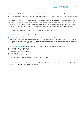Restricted securities The following shares are restricted securities or securities subject to voluntary escrow under ASX listing rule 4.10.14.

All 9,917,358 shares issued by the Company in October 2013 in connection with a capital raise by the Company are subject to certain restrictions on sale until 16 October 2014.

202,043 shares in the Company that were issued in connection with the acquisition of the PayCycle assets in 2011 are restricted securities until 1 August 2014, to become unrestricted securities on that date subject to continued employment of the founders of PayCycle within the Group.

420,610 shares in the Company that were issued in connection with the acquisition of Max Solutions Holdings Limited in 2012 are restricted securities until 31 January 2015, to become unrestricted securities on that date subject to continued employment of the founders of Max Solutions Holdings Limited within the Group.

386,556 shares are held on a restricted basis in connection with Xero's Employee Restricted Share Plan.

Options There were 93 individuals, holding a total of 924,541 options at 8 May 2014.

Waivers Xero Limited had no NZX waivers granted or published by NZX within or relied upon in the 12 months ending 31 March 2014. Xero Limited has been granted waivers from the ASX which are standard for a New Zealand company listed on the ASX including confirmation that ASX will accept financial statements denominated in New Zealand dollars and prepared and audited in accordance with New Zealand Generally Accepted Accounting Principles and Auditing Standards.

Subsidiary company Directors The following people held office as Directors of subsidiary companies at 31 March 2014: Xero (UK) Limited – Rod Drury, Gary Turner Xero Australia Pty Limited – Rod Drury, Chris Ridd Xero (NZ) Limited – Rod Drury, Graham Shaw Xero, Inc. – Rod Drury Xero Trustee Limited – Rod Drury, Graham Shaw

Victoria Crone replaced Graham Shaw as a Director of Xero (NZ) Limited on 10 April 2014. Peter Karpas was added as a Director of Xero, Inc. on 10 April 2014.

Annual Meeting Xero's Annual Meeting of shareholders will be held in Wellington on Wednesday 23 July 2014 at 4pm. A notice of Annual Meeting and Proxy Form will be circulated to shareholders in June 2014.